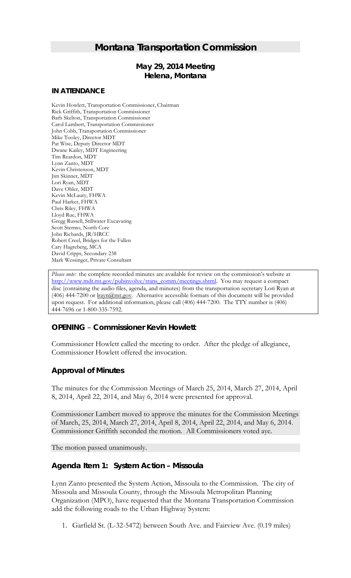# *Montana Transportation Commission*

# *May 29, 2014 Meeting* **Helena, Montana**

#### **IN ATTENDANCE**

Kevin Howlett, Transportation Commissioner, Chairman Rick Griffith, Transportation Commissioner Barb Skelton, Transportation Commissioner Carol Lambert, Transportation Commissioner John Cobb, Transportation Commissioner Mike Tooley, Director MDT Pat Wise, Deputy Director MDT Dwane Kailey, MDT Engineering Tim Reardon, MDT Lynn Zanto, MDT Kevin Christenson, MDT Jim Skinner, MDT Lori Ryan, MDT Dave Ohler, MDT Kevin McLaury, FHWA Paul Harker, FHWA Chris Riley, FHWA Lloyd Rue, FHWA Gregg Russell, Stillwater Excavating Scott Stermo, North Core John Richards, JR/HRCC Robert Creel, Bridges for the Fallen Cary Hagreberg, MCA David Cripps, Secondary 238 Mark Wessinger, Private Consultant

*Please note:* the complete recorded minutes are available for review on the commission's website at [http://www.mdt.mt.gov/pubinvolve/trans\\_comm/meetings.shtml.](http://www.mdt.mt.gov/pubinvolve/trans_comm/meetings.shtml) You may request a compact disc (containing the audio files, agenda, and minutes) from the transportation secretary Lori Ryan at (406) 444-7200 or lrayn@mt.gov. Alternative accessible formats of this document will be provided upon request. For additional information, please call (406) 444-7200. The TTY number is (406) 444-7696 or 1-800-335-7592.

# *OPENING – Commissioner Kevin Howlett*

Commissioner Howlett called the meeting to order. After the pledge of allegiance, Commissioner Howlett offered the invocation.

# *Approval of Minutes*

The minutes for the Commission Meetings of March 25, 2014, March 27, 2014, April 8, 2014, April 22, 2014, and May 6, 2014 were presented for approval.

Commissioner Lambert moved to approve the minutes for the Commission Meetings of March, 25, 2014, March 27, 2014, April 8, 2014, April 22, 2014, and May 6, 2014. Commissioner Griffith seconded the motion. All Commissioners voted aye.

The motion passed unanimously.

#### *Agenda Item 1: System Action – Missoula*

Lynn Zanto presented the System Action, Missoula to the Commission. The city of Missoula and Missoula County, through the Missoula Metropolitan Planning Organization (MPO), have requested that the Montana Transportation Commission add the following roads to the Urban Highway System:

1. Garfield St. (L-32-5472) between South Ave. and Fairview Ave. (0.19 miles)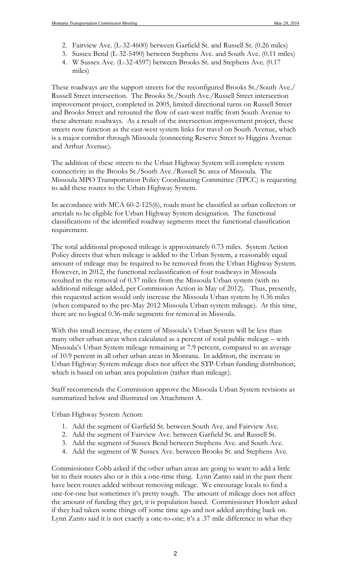- 2. Fairview Ave. (L-32-4600) between Garfield St. and Russell St. (0.26 miles)
- 3. Sussex Bend (L-32-5490) between Stephens Ave. and South Ave. (0.11 miles)
- 4. W Sussex Ave. (L-32-4597) between Brooks St. and Stephens Ave. (0.17 miles)

These roadways are the support streets for the reconfigured Brooks St./South Ave./ Russell Street intersection. The Brooks St./South Ave./Russell Street intersection improvement project, completed in 2005, limited directional turns on Russell Street and Brooks Street and rerouted the flow of east-west traffic from South Avenue to these alternate roadways. As a result of the intersection improvement project, these streets now function as the east-west system links for travel on South Avenue, which is a major corridor through Missoula (connecting Reserve Street to Higgins Avenue and Arthur Avenue).

The addition of these streets to the Urban Highway System will complete system connectivity in the Brooks St./South Ave./Russell St. area of Missoula. The Missoula MPO Transportation Policy Coordinating Committee (TPCC) is requesting to add these routes to the Urban Highway System.

In accordance with MCA 60-2-125(6), roads must be classified as urban collectors or arterials to be eligible for Urban Highway System designation. The functional classifications of the identified roadway segments meet the functional classification requirement.

The total additional proposed mileage is approximately 0.73 miles. System Action Policy directs that when mileage is added to the Urban System, a reasonably equal amount of mileage may be required to be removed from the Urban Highway System. However, in 2012, the functional reclassification of four roadways in Missoula resulted in the removal of 0.37 miles from the Missoula Urban system (with no additional mileage added, per Commission Action in May of 2012). Thus, presently, this requested action would only increase the Missoula Urban system by 0.36 miles (when compared to the pre-May 2012 Missoula Urban system mileage). At this time, there are no logical 0.36-mile segments for removal in Missoula.

With this small increase, the extent of Missoula's Urban System will be less than many other urban areas when calculated as a percent of total public mileage – with Missoula's Urban System mileage remaining at 7.9 percent, compared to an average of 10.9 percent in all other urban areas in Montana. In addition, the increase in Urban Highway System mileage does not affect the STP-Urban funding distribution; which is based on urban area population (rather than mileage).

Staff recommends the Commission approve the Missoula Urban System revisions as summarized below and illustrated on Attachment A.

Urban Highway System Action:

- 1. Add the segment of Garfield St. between South Ave. and Fairview Ave.
- 2. Add the segment of Fairview Ave. between Garfield St. and Russell St.
- 3. Add the segment of Sussex Bend between Stephens Ave. and South Ave.
- 4. Add the segment of W Sussex Ave. between Brooks St. and Stephens Ave.

Commissioner Cobb asked if the other urban areas are going to want to add a little bit to their routes also or is this a one-time thing. Lynn Zanto said in the past there have been routes added without removing mileage. We encourage locals to find a one-for-one but sometimes it's pretty tough. The amount of mileage does not affect the amount of funding they get, it is population based. Commissioner Howlett asked if they had taken some things off some time ago and not added anything back on. Lynn Zanto said it is not exactly a one-to-one; it's a .37 mile difference in what they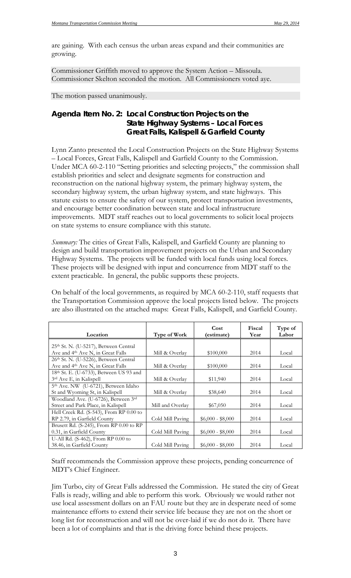are gaining. With each census the urban areas expand and their communities are growing.

Commissioner Griffith moved to approve the System Action – Missoula. Commissioner Skelton seconded the motion. All Commissioners voted aye.

The motion passed unanimously.

# *Agenda Item No. 2: Local Construction Projects on the State Highway Systems – Local Forces Great Falls, Kalispell & Garfield County*

Lynn Zanto presented the Local Construction Projects on the State Highway Systems – Local Forces, Great Falls, Kalispell and Garfield County to the Commission. Under MCA 60-2-110 "Setting priorities and selecting projects," the commission shall establish priorities and select and designate segments for construction and reconstruction on the national highway system, the primary highway system, the secondary highway system, the urban highway system, and state highways. This statute exists to ensure the safety of our system, protect transportation investments, and encourage better coordination between state and local infrastructure improvements. MDT staff reaches out to local governments to solicit local projects on state systems to ensure compliance with this statute.

*Summary:* The cities of Great Falls, Kalispell, and Garfield County are planning to design and build transportation improvement projects on the Urban and Secondary Highway Systems. The projects will be funded with local funds using local forces. These projects will be designed with input and concurrence from MDT staff to the extent practicable. In general, the public supports these projects.

On behalf of the local governments, as required by MCA 60-2-110, staff requests that the Transportation Commission approve the local projects listed below. The projects are also illustrated on the attached maps: Great Falls, Kalispell, and Garfield County.

| Location                                        | Type of Work     | Cost<br>(estimate) | Fiscal<br>Year | Type of<br>Labor |
|-------------------------------------------------|------------------|--------------------|----------------|------------------|
| 25th St. N. (U-5217), Between Central           |                  |                    |                |                  |
|                                                 |                  |                    |                |                  |
| Ave and 4th Ave N, in Great Falls               | Mill & Overlay   | \$100,000          | 2014           | Local            |
| 26th St. N. (U-5226), Between Central           |                  |                    |                |                  |
| Ave and 4th Ave N, in Great Falls               | Mill & Overlay   | \$100,000          | 2014           | Local            |
| 18th St. E. (U-6733), Between US 93 and         |                  |                    |                |                  |
| 3rd Ave E, in Kalispell                         | Mill & Overlay   | \$11,940           | 2014           | Local            |
| 5 <sup>th</sup> Ave. NW (U-6721), Between Idaho |                  |                    |                |                  |
| St and Wyoming St, in Kalispell                 | Mill & Overlay   | \$38,640           | 2014           | Local            |
| Woodland Ave. (U-6726), Between 3rd             |                  |                    |                |                  |
| Street and Park Place, in Kalispell             | Mill and Overlay | \$67,050           | 2014           | Local            |
| Hell Creek Rd. (S-543), From RP 0.00 to         |                  |                    |                |                  |
| RP 2.79, in Garfield County                     | Cold Mill Paving | $$6,000 - $8,000$  | 2014           | Local            |
| Brusett Rd. (S-245), From RP 0.00 to RP         |                  |                    |                |                  |
| 0.31, in Garfield County                        | Cold Mill Paving | $$6,000 - $8,000$  | 2014           | Local            |
| U-All Rd. $(S-462)$ , From RP 0.00 to           |                  |                    |                |                  |
| 38.46, in Garfield County                       | Cold Mill Paving | $$6,000 - $8,000$  | 2014           | Local            |

Staff recommends the Commission approve these projects, pending concurrence of MDT's Chief Engineer.

Jim Turbo, city of Great Falls addressed the Commission. He stated the city of Great Falls is ready, willing and able to perform this work. Obviously we would rather not use local assessment dollars on an FAU route but they are in desperate need of some maintenance efforts to extend their service life because they are not on the short or long list for reconstruction and will not be over-laid if we do not do it. There have been a lot of complaints and that is the driving force behind these projects.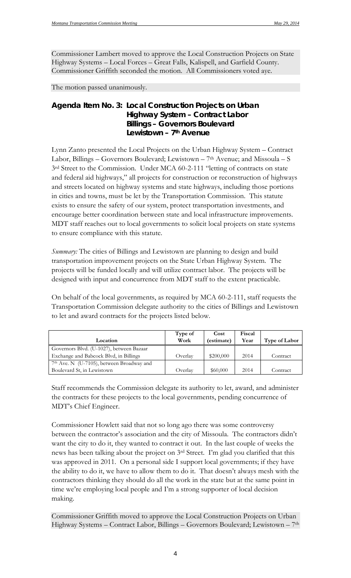Commissioner Lambert moved to approve the Local Construction Projects on State Highway Systems – Local Forces – Great Falls, Kalispell, and Garfield County. Commissioner Griffith seconded the motion. All Commissioners voted aye.

The motion passed unanimously.

## *Agenda Item No. 3: Local Construction Projects on Urban Highway System – Contract Labor Billings – Governors Boulevard Lewistown – 7th Avenue*

Lynn Zanto presented the Local Projects on the Urban Highway System – Contract Labor, Billings – Governors Boulevard; Lewistown – 7th Avenue; and Missoula – S 3<sup>rd</sup> Street to the Commission. Under MCA 60-2-111 "letting of contracts on state and federal aid highways," all projects for construction or reconstruction of highways and streets located on highway systems and state highways, including those portions in cities and towns, must be let by the Transportation Commission. This statute exists to ensure the safety of our system, protect transportation investments, and encourage better coordination between state and local infrastructure improvements. MDT staff reaches out to local governments to solicit local projects on state systems to ensure compliance with this statute.

*Summary:* The cities of Billings and Lewistown are planning to design and build transportation improvement projects on the State Urban Highway System. The projects will be funded locally and will utilize contract labor. The projects will be designed with input and concurrence from MDT staff to the extent practicable.

On behalf of the local governments, as required by MCA 60-2-111, staff requests the Transportation Commission delegate authority to the cities of Billings and Lewistown to let and award contracts for the projects listed below.

|                                                       | Type of | Cost       | Fiscal |                      |
|-------------------------------------------------------|---------|------------|--------|----------------------|
| Location                                              | Work    | (estimate) | Year   | <b>Type of Labor</b> |
| Governors Blvd. (U-1027), between Bazaar              |         |            |        |                      |
| Exchange and Babcock Blvd, in Billings                | Overlav | \$200,000  | 2014   | Contract             |
| 7 <sup>th</sup> Ave. N (U-7105), between Broadway and |         |            |        |                      |
| Boulevard St, in Lewistown                            | Overlav | \$60,000   | 2014   | Contract             |

Staff recommends the Commission delegate its authority to let, award, and administer the contracts for these projects to the local governments, pending concurrence of MDT's Chief Engineer.

Commissioner Howlett said that not so long ago there was some controversy between the contractor's association and the city of Missoula. The contractors didn't want the city to do it, they wanted to contract it out. In the last couple of weeks the news has been talking about the project on 3rd Street. I'm glad you clarified that this was approved in 2011. On a personal side I support local governments; if they have the ability to do it, we have to allow them to do it. That doesn't always mesh with the contractors thinking they should do all the work in the state but at the same point in time we're employing local people and I'm a strong supporter of local decision making.

Commissioner Griffith moved to approve the Local Construction Projects on Urban Highway Systems – Contract Labor, Billings – Governors Boulevard; Lewistown – 7th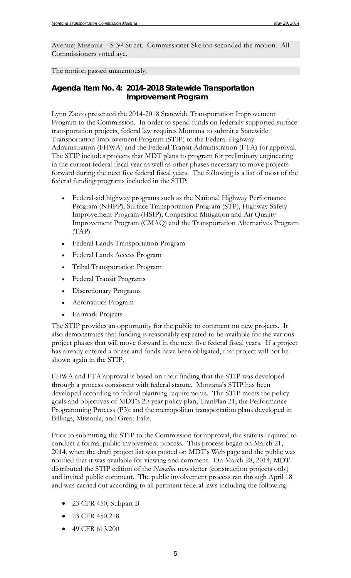Avenue; Missoula – S 3rd Street. Commissioner Skelton seconded the motion. All Commissioners voted aye.

The motion passed unanimously.

# *Agenda Item No. 4: 2014–2018 Statewide Transportation Improvement Program*

Lynn Zanto presented the 2014-2018 Statewide Transportation Improvement Program to the Commission. In order to spend funds on federally supported surface transportation projects, federal law requires Montana to submit a Statewide Transportation Improvement Program (STIP) to the Federal Highway Administration (FHWA) and the Federal Transit Administration (FTA) for approval. The STIP includes projects that MDT plans to program for preliminary engineering in the current federal fiscal year as well as other phases necessary to move projects forward during the next five federal fiscal years. The following is a list of most of the federal funding programs included in the STIP:

- Federal-aid highway programs such as the National Highway Performance Program (NHPP), Surface Transportation Program (STP), Highway Safety Improvement Program (HSIP), Congestion Mitigation and Air Quality Improvement Program (CMAQ) and the Transportation Alternatives Program  $(TAP)$ .
- Federal Lands Transportation Program
- Federal Lands Access Program
- Tribal Transportation Program
- Federal Transit Programs
- Discretionary Programs
- Aeronautics Program
- Earmark Projects

The STIP provides an opportunity for the public to comment on new projects. It also demonstrates that funding is reasonably expected to be available for the various project phases that will move forward in the next five federal fiscal years. If a project has already entered a phase and funds have been obligated, that project will not be shown again in the STIP.

FHWA and FTA approval is based on their finding that the STIP was developed through a process consistent with federal statute. Montana's STIP has been developed according to federal planning requirements. The STIP meets the policy goals and objectives of MDT's 20-year policy plan, TranPlan 21; the Performance Programming Process (P3); and the metropolitan transportation plans developed in Billings, Missoula, and Great Falls.

Prior to submitting the STIP to the Commission for approval, the state is required to conduct a formal public involvement process. This process began on March 21, 2014, when the draft project list was posted on MDT's Web page and the public was notified that it was available for viewing and comment. On March 28, 2014, MDT distributed the STIP edition of the *Newsline* newsletter (construction projects only) and invited public comment. The public involvement process ran through April 18 and was carried out according to all pertinent federal laws including the following:

- 23 CFR 450, Subpart B
- 23 CFR 450.218
- 49 CFR 613.200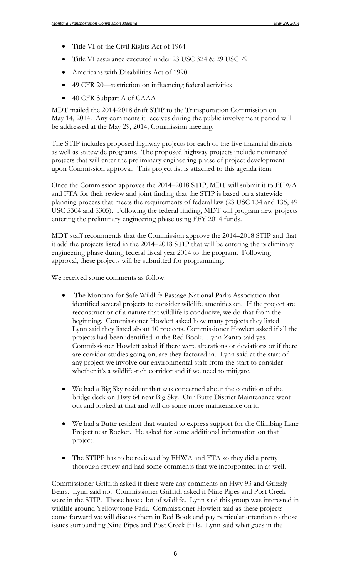- Title VI of the Civil Rights Act of 1964
- Title VI assurance executed under 23 USC 324 & 29 USC 79
- Americans with Disabilities Act of 1990
- 49 CFR 20—restriction on influencing federal activities
- 40 CFR Subpart A of CAAA

MDT mailed the 2014-2018 draft STIP to the Transportation Commission on May 14, 2014. Any comments it receives during the public involvement period will be addressed at the May 29, 2014, Commission meeting.

The STIP includes proposed highway projects for each of the five financial districts as well as statewide programs. The proposed highway projects include nominated projects that will enter the preliminary engineering phase of project development upon Commission approval. This project list is attached to this agenda item.

Once the Commission approves the 2014–2018 STIP, MDT will submit it to FHWA and FTA for their review and joint finding that the STIP is based on a statewide planning process that meets the requirements of federal law (23 USC 134 and 135, 49 USC 5304 and 5305). Following the federal finding, MDT will program new projects entering the preliminary engineering phase using FFY 2014 funds.

MDT staff recommends that the Commission approve the 2014–2018 STIP and that it add the projects listed in the 2014–2018 STIP that will be entering the preliminary engineering phase during federal fiscal year 2014 to the program. Following approval, these projects will be submitted for programming.

We received some comments as follow:

- The Montana for Safe Wildlife Passage National Parks Association that identified several projects to consider wildlife amenities on. If the project are reconstruct or of a nature that wildlife is conducive, we do that from the beginning. Commissioner Howlett asked how many projects they listed. Lynn said they listed about 10 projects. Commissioner Howlett asked if all the projects had been identified in the Red Book. Lynn Zanto said yes. Commissioner Howlett asked if there were alterations or deviations or if there are corridor studies going on, are they factored in. Lynn said at the start of any project we involve our environmental staff from the start to consider whether it's a wildlife-rich corridor and if we need to mitigate.
- We had a Big Sky resident that was concerned about the condition of the bridge deck on Hwy 64 near Big Sky. Our Butte District Maintenance went out and looked at that and will do some more maintenance on it.
- We had a Butte resident that wanted to express support for the Climbing Lane Project near Rocker. He asked for some additional information on that project.
- The STIPP has to be reviewed by FHWA and FTA so they did a pretty thorough review and had some comments that we incorporated in as well.

Commissioner Griffith asked if there were any comments on Hwy 93 and Grizzly Bears. Lynn said no. Commissioner Griffith asked if Nine Pipes and Post Creek were in the STIP. Those have a lot of wildlife. Lynn said this group was interested in wildlife around Yellowstone Park. Commissioner Howlett said as these projects come forward we will discuss them in Red Book and pay particular attention to those issues surrounding Nine Pipes and Post Creek Hills. Lynn said what goes in the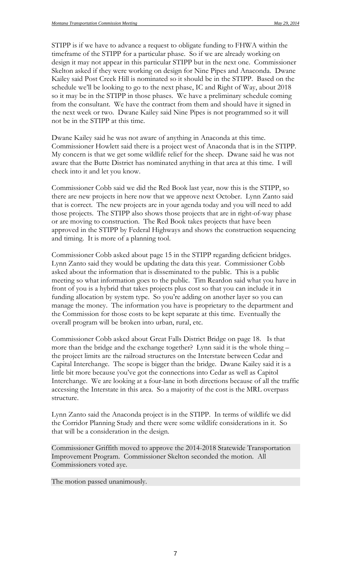STIPP is if we have to advance a request to obligate funding to FHWA within the timeframe of the STIPP for a particular phase. So if we are already working on design it may not appear in this particular STIPP but in the next one. Commissioner Skelton asked if they were working on design for Nine Pipes and Anaconda. Dwane Kailey said Post Creek Hill is nominated so it should be in the STIPP. Based on the schedule we'll be looking to go to the next phase, IC and Right of Way, about 2018 so it may be in the STIPP in those phases. We have a preliminary schedule coming from the consultant. We have the contract from them and should have it signed in the next week or two. Dwane Kailey said Nine Pipes is not programmed so it will not be in the STIPP at this time.

Dwane Kailey said he was not aware of anything in Anaconda at this time. Commissioner Howlett said there is a project west of Anaconda that is in the STIPP. My concern is that we get some wildlife relief for the sheep. Dwane said he was not aware that the Butte District has nominated anything in that area at this time. I will check into it and let you know.

Commissioner Cobb said we did the Red Book last year, now this is the STIPP, so there are new projects in here now that we approve next October. Lynn Zanto said that is correct. The new projects are in your agenda today and you will need to add those projects. The STIPP also shows those projects that are in right-of-way phase or are moving to construction. The Red Book takes projects that have been approved in the STIPP by Federal Highways and shows the construction sequencing and timing. It is more of a planning tool.

Commissioner Cobb asked about page 15 in the STIPP regarding deficient bridges. Lynn Zanto said they would be updating the data this year. Commissioner Cobb asked about the information that is disseminated to the public. This is a public meeting so what information goes to the public. Tim Reardon said what you have in front of you is a hybrid that takes projects plus cost so that you can include it in funding allocation by system type. So you're adding on another layer so you can manage the money. The information you have is proprietary to the department and the Commission for those costs to be kept separate at this time. Eventually the overall program will be broken into urban, rural, etc.

Commissioner Cobb asked about Great Falls District Bridge on page 18. Is that more than the bridge and the exchange together? Lynn said it is the whole thing – the project limits are the railroad structures on the Interstate between Cedar and Capital Interchange. The scope is bigger than the bridge. Dwane Kailey said it is a little bit more because you've got the connections into Cedar as well as Capitol Interchange. We are looking at a four-lane in both directions because of all the traffic accessing the Interstate in this area. So a majority of the cost is the MRL overpass structure.

Lynn Zanto said the Anaconda project is in the STIPP. In terms of wildlife we did the Corridor Planning Study and there were some wildlife considerations in it. So that will be a consideration in the design.

Commissioner Griffith moved to approve the 2014-2018 Statewide Transportation Improvement Program. Commissioner Skelton seconded the motion. All Commissioners voted aye.

The motion passed unanimously.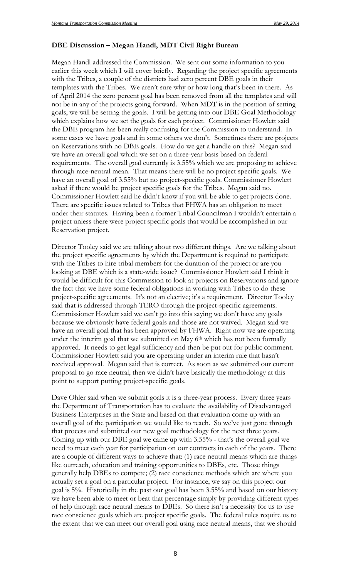#### **DBE Discussion – Megan Handl, MDT Civil Right Bureau**

Megan Handl addressed the Commission. We sent out some information to you earlier this week which I will cover briefly. Regarding the project specific agreements with the Tribes, a couple of the districts had zero percent DBE goals in their templates with the Tribes. We aren't sure why or how long that's been in there. As of April 2014 the zero percent goal has been removed from all the templates and will not be in any of the projects going forward. When MDT is in the position of setting goals, we will be setting the goals. I will be getting into our DBE Goal Methodology which explains how we set the goals for each project. Commissioner Howlett said the DBE program has been really confusing for the Commission to understand. In some cases we have goals and in some others we don't. Sometimes there are projects on Reservations with no DBE goals. How do we get a handle on this? Megan said we have an overall goal which we set on a three-year basis based on federal requirements. The overall goal currently is 3.55% which we are proposing to achieve through race-neutral mean. That means there will be no project specific goals. We have an overall goal of 3.55% but no project-specific goals. Commissioner Howlett asked if there would be project specific goals for the Tribes. Megan said no. Commissioner Howlett said he didn't know if you will be able to get projects done. There are specific issues related to Tribes that FHWA has an obligation to meet under their statutes. Having been a former Tribal Councilman I wouldn't entertain a project unless there were project specific goals that would be accomplished in our Reservation project.

Director Tooley said we are talking about two different things. Are we talking about the project specific agreements by which the Department is required to participate with the Tribes to hire tribal members for the duration of the project or are you looking at DBE which is a state-wide issue? Commissioner Howlett said I think it would be difficult for this Commission to look at projects on Reservations and ignore the fact that we have some federal obligations in working with Tribes to do these project-specific agreements. It's not an elective; it's a requirement. Director Tooley said that is addressed through TERO through the project-specific agreements. Commissioner Howlett said we can't go into this saying we don't have any goals because we obviously have federal goals and those are not waived. Megan said we have an overall goal that has been approved by FHWA. Right now we are operating under the interim goal that we submitted on May 6<sup>th</sup> which has not been formally approved. It needs to get legal sufficiency and then be put out for public comment. Commissioner Howlett said you are operating under an interim rule that hasn't received approval. Megan said that is correct. As soon as we submitted our current proposal to go race neutral, then we didn't have basically the methodology at this point to support putting project-specific goals.

Dave Ohler said when we submit goals it is a three-year process. Every three years the Department of Transportation has to evaluate the availability of Disadvantaged Business Enterprises in the State and based on that evaluation come up with an overall goal of the participation we would like to reach. So we've just gone through that process and submitted our new goal methodology for the next three years. Coming up with our DBE goal we came up with 3.55% - that's the overall goal we need to meet each year for participation on our contracts in each of the years. There are a couple of different ways to achieve that: (1) race neutral means which are things like outreach, education and training opportunities to DBEs, etc. Those things generally help DBEs to compete; (2) race conscience methods which are where you actually set a goal on a particular project. For instance, we say on this project our goal is 5%. Historically in the past our goal has been 3.55% and based on our history we have been able to meet or beat that percentage simply by providing different types of help through race neutral means to DBEs. So there isn't a necessity for us to use race conscience goals which are project specific goals. The federal rules require us to the extent that we can meet our overall goal using race neutral means, that we should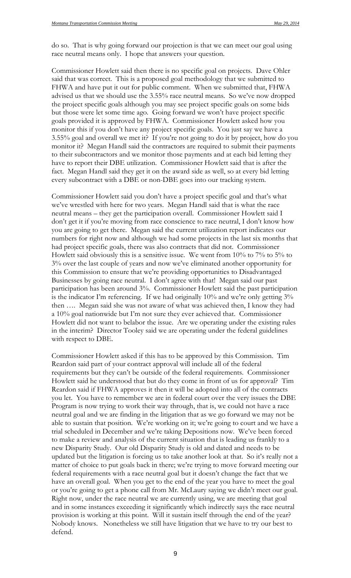do so. That is why going forward our projection is that we can meet our goal using race neutral means only. I hope that answers your question.

Commissioner Howlett said then there is no specific goal on projects. Dave Ohler said that was correct. This is a proposed goal methodology that we submitted to FHWA and have put it out for public comment. When we submitted that, FHWA advised us that we should use the 3.55% race neutral means. So we've now dropped the project specific goals although you may see project specific goals on some bids but those were let some time ago. Going forward we won't have project specific goals provided it is approved by FHWA. Commissioner Howlett asked how you monitor this if you don't have any project specific goals. You just say we have a 3.55% goal and overall we met it? If you're not going to do it by project, how do you monitor it? Megan Handl said the contractors are required to submit their payments to their subcontractors and we monitor those payments and at each bid letting they have to report their DBE utilization. Commissioner Howlett said that is after the fact. Megan Handl said they get it on the award side as well, so at every bid letting every subcontract with a DBE or non-DBE goes into our tracking system.

Commissioner Howlett said you don't have a project specific goal and that's what we've wrestled with here for two years. Megan Handl said that is what the race neutral means – they get the participation overall. Commissioner Howlett said I don't get it if you're moving from race conscience to race neutral, I don't know how you are going to get there. Megan said the current utilization report indicates our numbers for right now and although we had some projects in the last six months that had project specific goals, there was also contracts that did not. Commissioner Howlett said obviously this is a sensitive issue. We went from 10% to 7% to 5% to 3% over the last couple of years and now we've eliminated another opportunity for this Commission to ensure that we're providing opportunities to Disadvantaged Businesses by going race neutral. I don't agree with that! Megan said our past participation has been around 3%. Commissioner Howlett said the past participation is the indicator I'm referencing. If we had originally 10% and we're only getting 3% then …. Megan said she was not aware of what was achieved then, I know they had a 10% goal nationwide but I'm not sure they ever achieved that. Commissioner Howlett did not want to belabor the issue. Are we operating under the existing rules in the interim? Director Tooley said we are operating under the federal guidelines with respect to DBE.

Commissioner Howlett asked if this has to be approved by this Commission. Tim Reardon said part of your contract approval will include all of the federal requirements but they can't be outside of the federal requirements. Commissioner Howlett said he understood that but do they come in front of us for approval? Tim Reardon said if FHWA approves it then it will be adopted into all of the contracts you let. You have to remember we are in federal court over the very issues the DBE Program is now trying to work their way through, that is, we could not have a race neutral goal and we are finding in the litigation that as we go forward we may not be able to sustain that position. We're working on it; we're going to court and we have a trial scheduled in December and we're taking Depositions now. We've been forced to make a review and analysis of the current situation that is leading us frankly to a new Disparity Study. Our old Disparity Study is old and dated and needs to be updated but the litigation is forcing us to take another look at that. So it's really not a matter of choice to put goals back in there; we're trying to move forward meeting our federal requirements with a race neutral goal but it doesn't change the fact that we have an overall goal. When you get to the end of the year you have to meet the goal or you're going to get a phone call from Mr. McLaury saying we didn't meet our goal. Right now, under the race neutral we are currently using, we are meeting that goal and in some instances exceeding it significantly which indirectly says the race neutral provision is working at this point. Will it sustain itself through the end of the year? Nobody knows. Nonetheless we still have litigation that we have to try our best to defend.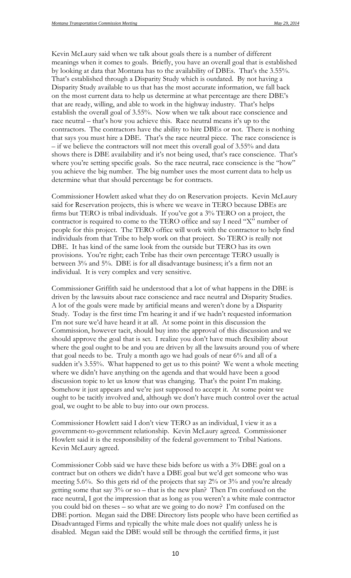Kevin McLaury said when we talk about goals there is a number of different meanings when it comes to goals. Briefly, you have an overall goal that is established by looking at data that Montana has to the availability of DBEs. That's the 3.55%. That's established through a Disparity Study which is outdated. By not having a Disparity Study available to us that has the most accurate information, we fall back on the most current data to help us determine at what percentage are there DBE's that are ready, willing, and able to work in the highway industry. That's helps establish the overall goal of 3.55%. Now when we talk about race conscience and race neutral – that's how you achieve this. Race neutral means it's up to the contractors. The contractors have the ability to hire DBEs or not. There is nothing that says you must hire a DBE. That's the race neutral piece. The race conscience is – if we believe the contractors will not meet this overall goal of 3.55% and data shows there is DBE availability and it's not being used, that's race conscience. That's where you're setting specific goals. So the race neutral, race conscience is the "how" you achieve the big number. The big number uses the most current data to help us determine what that should percentage be for contracts.

Commissioner Howlett asked what they do on Reservation projects. Kevin McLaury said for Reservation projects, this is where we weave in TERO because DBEs are firms but TERO is tribal individuals. If you've got a 3% TERO on a project, the contractor is required to come to the TERO office and say I need "X" number of people for this project. The TERO office will work with the contractor to help find individuals from that Tribe to help work on that project. So TERO is really not DBE. It has kind of the same look from the outside but TERO has its own provisions. You're right; each Tribe has their own percentage TERO usually is between 3% and 5%. DBE is for all disadvantage business; it's a firm not an individual. It is very complex and very sensitive.

Commissioner Griffith said he understood that a lot of what happens in the DBE is driven by the lawsuits about race conscience and race neutral and Disparity Studies. A lot of the goals were made by artificial means and weren't done by a Disparity Study. Today is the first time I'm hearing it and if we hadn't requested information I'm not sure we'd have heard it at all. At some point in this discussion the Commission, however tacit, should buy into the approval of this discussion and we should approve the goal that is set. I realize you don't have much flexibility about where the goal ought to be and you are driven by all the lawsuits around you of where that goal needs to be. Truly a month ago we had goals of near 6% and all of a sudden it's 3.55%. What happened to get us to this point? We went a whole meeting where we didn't have anything on the agenda and that would have been a good discussion topic to let us know that was changing. That's the point I'm making. Somehow it just appears and we're just supposed to accept it. At some point we ought to be tacitly involved and, although we don't have much control over the actual goal, we ought to be able to buy into our own process.

Commissioner Howlett said I don't view TERO as an individual, I view it as a government-to-government relationship. Kevin McLaury agreed. Commissioner Howlett said it is the responsibility of the federal government to Tribal Nations. Kevin McLaury agreed.

Commissioner Cobb said we have these bids before us with a 3% DBE goal on a contract but on others we didn't have a DBE goal but we'd get someone who was meeting 5.6%. So this gets rid of the projects that say 2% or 3% and you're already getting some that say  $3\%$  or so – that is the new plan? Then I'm confused on the race neutral, I got the impression that as long as you weren't a white male contractor you could bid on theses – so what are we going to do now? I'm confused on the DBE portion. Megan said the DBE Directory lists people who have been certified as Disadvantaged Firms and typically the white male does not qualify unless he is disabled. Megan said the DBE would still be through the certified firms, it just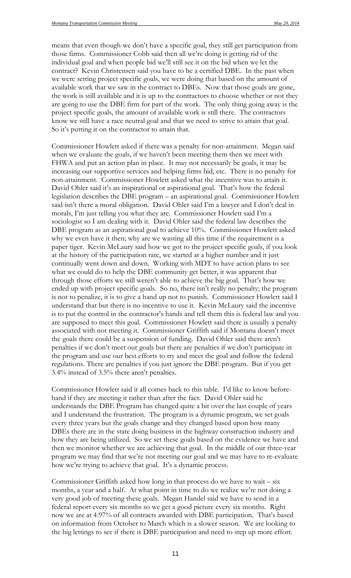means that even though we don't have a specific goal, they still get participation from those firms. Commissioner Cobb said then all we're doing is getting rid of the individual goal and when people bid we'll still see it on the bid when we let the contract? Kevin Christensen said you have to be a certified DBE. In the past when we were setting project specific goals, we were doing that based on the amount of available work that we saw in the contract to DBEs. Now that those goals are gone, the work is still available and it is up to the contractors to choose whether or not they are going to use the DBE firm for part of the work. The only thing going away is the project specific goals, the amount of available work is still there. The contractors know we still have a race neutral goal and that we need to strive to attain that goal. So it's putting it on the contractor to attain that.

Commissioner Howlett asked if there was a penalty for non-attainment. Megan said when we evaluate the goals, if we haven't been meeting them then we meet with FHWA and put an action plan in place. It may not necessarily be goals, it may be increasing our supportive services and helping firms bid, etc. There is no penalty for non-attainment. Commissioner Howlett asked what the incentive was to attain it. David Ohler said it's an inspirational or aspirational goal. That's how the federal legislation describes the DBE program – an aspirational goal. Commissioner Howlett said isn't there a moral obligation. David Ohler said I'm a lawyer and I don't deal in morals, I'm just telling you what they are. Commissioner Howlett said I'm a sociologist so I am dealing with it. David Ohler said the federal law describes the DBE program as an aspirational goal to achieve 10%. Commissioner Howlett asked why we even have it then; why are we wasting all this time if the requirement is a paper tiger. Kevin McLaury said how we got to the project specific goals, if you look at the history of the participation rate, we started at a higher number and it just continually went down and down. Working with MDT to have action plans to see what we could do to help the DBE community get better, it was apparent that through those efforts we still weren't able to achieve the big goal. That's how we ended up with project specific goals. So no, there isn't really no penalty; the program is not to penalize, it is to give a hand up not to punish. Commissioner Howlett said I understand that but there is no incentive to use it. Kevin McLaury said the incentive is to put the control in the contractor's hands and tell them this is federal law and you are supposed to meet this goal. Commissioner Howlett said there is usually a penalty associated with not meeting it. Commissioner Griffith said if Montana doesn't meet the goals there could be a suspension of funding. David Ohler said there aren't penalties if we don't meet our goals but there are penalties if we don't participate in the program and use our best efforts to try and meet the goal and follow the federal regulations. There are penalties if you just ignore the DBE program. But if you get 3.4% instead of 3.5% there aren't penalties.

Commissioner Howlett said it all comes back to this table. I'd like to know beforehand if they are meeting it rather than after the fact. David Ohler said he understands the DBE Program has changed quite a bit over the last couple of years and I understand the frustration. The program is a dynamic program, we set goals every three years but the goals change and they changed based upon how many DBEs there are in the state doing business in the highway construction industry and how they are being utilized. So we set these goals based on the evidence we have and then we monitor whether we are achieving that goal. In the middle of our three-year program we may find that we're not meeting our goal and we may have to re-evaluate how we're trying to achieve that goal. It's a dynamic process.

Commissioner Griffith asked how long in that process do we have to wait – six months, a year and a half. At what point in time to do we realize we're not doing a very good job of meeting these goals. Megan Handel said we have to send in a federal report every six months so we get a good picture every six months. Right now we are at 4.97% of all contracts awarded with DBE participation. That's based on information from October to March which is a slower season. We are looking to the big lettings to see if there is DBE participation and need to step up more effort.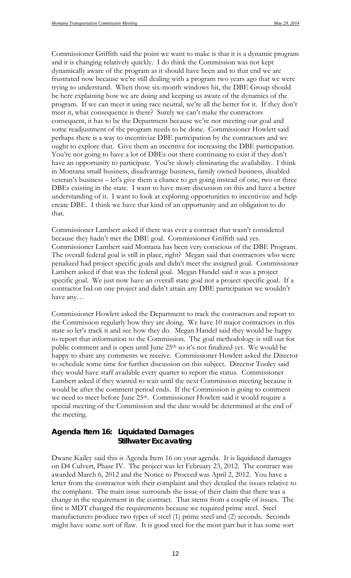Commissioner Griffith said the point we want to make is that it is a dynamic program and it is changing relatively quickly. I do think the Commission was not kept dynamically aware of the program as it should have been and to that end we are frustrated now because we're still dealing with a program two years ago that we were trying to understand. When those six-month windows hit, the DBE Group should be here explaining how we are doing and keeping us aware of the dynamics of the program. If we can meet it using race neutral, we're all the better for it. If they don't meet it, what consequence is there? Surely we can't make the contractors consequent, it has to be the Department because we're not meeting our goal and some readjustment of the program needs to be done. Commissioner Howlett said perhaps there is a way to incentivize DBE participation by the contractors and we ought to explore that. Give them an incentive for increasing the DBE participation. You're not going to have a lot of DBEs out there continuing to exist if they don't have an opportunity to participate. You're slowly eliminating the availability. I think in Montana small business, disadvantage business, family owned business, disabled veteran's business – let's give them a chance to get going instead of one, two or three DBEs existing in the state. I want to have more discussion on this and have a better understanding of it. I want to look at exploring opportunities to incentivize and help create DBE. I think we have that kind of an opportunity and an obligation to do that.

Commissioner Lambert asked if there was ever a contract that wasn't considered because they hadn't met the DBE goal. Commissioner Griffith said yes. Commissioner Lambert said Montana has been very conscious of the DBE Program. The overall federal goal is still in place, right? Megan said that contractors who were penalized had project specific goals and didn't meet the assigned goal. Commissioner Lambert asked if that was the federal goal. Megan Handel said it was a project specific goal. We just now have an overall state goal not a project specific goal. If a contractor bid on one project and didn't attain any DBE participation we wouldn't have any…

Commissioner Howlett asked the Department to track the contractors and report to the Commission regularly how they are doing. We have 10 major contractors in this state so let's track it and see how they do. Megan Handel said they would be happy to report that information to the Commission. The goal methodology is still out for public comment and is open until June 25<sup>th</sup> so it's not finalized yet. We would be happy to share any comments we receive. Commissioner Howlett asked the Director to schedule some time for further discussion on this subject. Director Tooley said they would have staff available every quarter to report the status. Commissioner Lambert asked if they wanted to wait until the next Commission meeting because it would be after the comment period ends. If the Commission is going to comment we need to meet before June 25th. Commissioner Howlett said it would require a special meeting of the Commission and the date would be determined at the end of the meeting.

### *Agenda Item 16: Liquidated Damages Stillwater Excavating*

Dwane Kailey said this is Agenda Item 16 on your agenda. It is liquidated damages on D4 Culvert, Phase IV. The project was let February 23, 2012. The contract was awarded March 6, 2012 and the Notice to Proceed was April 2, 2012. You have a letter from the contractor with their complaint and they detailed the issues relative to the complaint. The main issue surrounds the issue of their claim that there was a change in the requirement in the contract. That stems from a couple of issues. The first is MDT changed the requirements because we required prime steel. Steel manufacturers produce two types of steel (1) prime steel and (2) seconds. Seconds might have some sort of flaw. It is good steel for the most part but it has some sort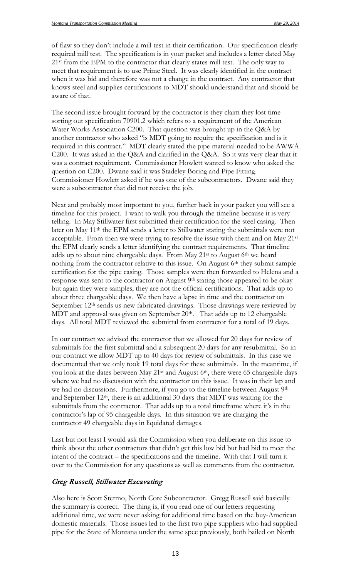of flaw so they don't include a mill test in their certification. Our specification clearly required mill test. The specification is in your packet and includes a letter dated May 21<sup>st</sup> from the EPM to the contractor that clearly states mill test. The only way to meet that requirement is to use Prime Steel. It was clearly identified in the contract when it was bid and therefore was not a change in the contract. Any contractor that knows steel and supplies certifications to MDT should understand that and should be aware of that.

The second issue brought forward by the contractor is they claim they lost time sorting out specification 70901.2 which refers to a requirement of the American Water Works Association C200. That question was brought up in the Q&A by another contractor who asked "is MDT going to require the specification and is it required in this contract." MDT clearly stated the pipe material needed to be AWWA C200. It was asked in the Q&A and clarified in the Q&A. So it was very clear that it was a contract requirement. Commissioner Howlett wanted to know who asked the question on C200. Dwane said it was Stadeley Boring and Pipe Fitting. Commissioner Howlett asked if he was one of the subcontractors. Dwane said they were a subcontractor that did not receive the job.

Next and probably most important to you, further back in your packet you will see a timeline for this project. I want to walk you through the timeline because it is very telling. In May Stillwater first submitted their certification for the steel casing. Then later on May 11th the EPM sends a letter to Stillwater stating the submittals were not acceptable. From then we were trying to resolve the issue with them and on May 21<sup>st</sup> the EPM clearly sends a letter identifying the contract requirements. That timeline adds up to about nine chargeable days. From May 21<sup>st</sup> to August 6<sup>th</sup> we heard nothing from the contractor relative to this issue. On August 6<sup>th</sup> they submit sample certification for the pipe casing. Those samples were then forwarded to Helena and a response was sent to the contractor on August 9<sup>th</sup> stating those appeared to be okay but again they were samples, they are not the official certifications. That adds up to about three chargeable days. We then have a lapse in time and the contractor on September 12<sup>th</sup> sends us new fabricated drawings. Those drawings were reviewed by MDT and approval was given on September  $20<sup>th</sup>$ . That adds up to 12 chargeable days. All total MDT reviewed the submittal from contractor for a total of 19 days.

In our contract we advised the contractor that we allowed for 20 days for review of submittals for the first submittal and a subsequent 20 days for any resubmittal. So in our contract we allow MDT up to 40 days for review of submittals. In this case we documented that we only took 19 total days for these submittals. In the meantime, if you look at the dates between May 21st and August 6th, there were 65 chargeable days where we had no discussion with the contractor on this issue. It was in their lap and we had no discussions. Furthermore, if you go to the timeline between August 9<sup>th</sup> and September 12th, there is an additional 30 days that MDT was waiting for the submittals from the contractor. That adds up to a total timeframe where it's in the contractor's lap of 95 chargeable days. In this situation we are charging the contractor 49 chargeable days in liquidated damages.

Last but not least I would ask the Commission when you deliberate on this issue to think about the other contractors that didn't get this low bid but had bid to meet the intent of the contract – the specifications and the timeline. With that I will turn it over to the Commission for any questions as well as comments from the contractor.

#### Greg Russell, Stillwater Excavating

Also here is Scott Stermo, North Core Subcontractor. Gregg Russell said basically the summary is correct. The thing is, if you read one of our letters requesting additional time, we were never asking for additional time based on the buy-American domestic materials. Those issues led to the first two pipe suppliers who had supplied pipe for the State of Montana under the same spec previously, both bailed on North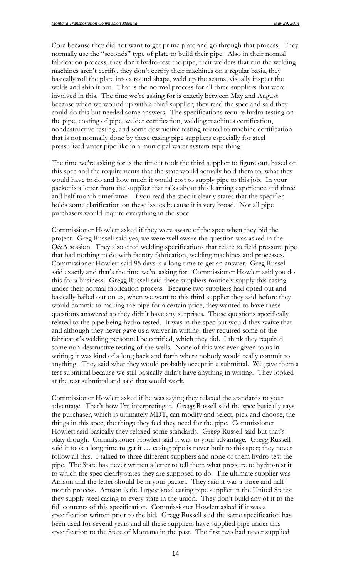Core because they did not want to get prime plate and go through that process. They normally use the "seconds" type of plate to build their pipe. Also in their normal fabrication process, they don't hydro-test the pipe, their welders that run the welding machines aren't certify, they don't certify their machines on a regular basis, they basically roll the plate into a round shape, weld up the seams, visually inspect the welds and ship it out. That is the normal process for all three suppliers that were involved in this. The time we're asking for is exactly between May and August because when we wound up with a third supplier, they read the spec and said they could do this but needed some answers. The specifications require hydro testing on the pipe, coating of pipe, welder certification, welding machines certification, nondestructive testing, and some destructive testing related to machine certification that is not normally done by these casing pipe suppliers especially for steel pressurized water pipe like in a municipal water system type thing.

The time we're asking for is the time it took the third supplier to figure out, based on this spec and the requirements that the state would actually hold them to, what they would have to do and how much it would cost to supply pipe to this job. In your packet is a letter from the supplier that talks about this learning experience and three and half month timeframe. If you read the spec it clearly states that the specifier holds some clarification on these issues because it is very broad. Not all pipe purchasers would require everything in the spec.

Commissioner Howlett asked if they were aware of the spec when they bid the project. Greg Russell said yes, we were well aware the question was asked in the Q&A session. They also cited welding specifications that relate to field pressure pipe that had nothing to do with factory fabrication, welding machines and processes. Commissioner Howlett said 95 days is a long time to get an answer. Greg Russell said exactly and that's the time we're asking for. Commissioner Howlett said you do this for a business. Gregg Russell said these suppliers routinely supply this casing under their normal fabrication process. Because two suppliers had opted out and basically bailed out on us, when we went to this third supplier they said before they would commit to making the pipe for a certain price, they wanted to have these questions answered so they didn't have any surprises. Those questions specifically related to the pipe being hydro-tested. It was in the spec but would they waive that and although they never gave us a waiver in writing, they required some of the fabricator's welding personnel be certified, which they did. I think they required some non-destructive testing of the wells. None of this was ever given to us in writing; it was kind of a long back and forth where nobody would really commit to anything. They said what they would probably accept in a submittal. We gave them a test submittal because we still basically didn't have anything in writing. They looked at the test submittal and said that would work.

Commissioner Howlett asked if he was saying they relaxed the standards to your advantage. That's how I'm interpreting it. Gregg Russell said the spec basically says the purchaser, which is ultimately MDT, can modify and select, pick and choose, the things in this spec, the things they feel they need for the pipe. Commissioner Howlett said basically they relaxed some standards. Gregg Russell said but that's okay though. Commissioner Howlett said it was to your advantage. Gregg Russell said it took a long time to get it … casing pipe is never built to this spec; they never follow all this. I talked to three different suppliers and none of them hydro-test the pipe. The State has never written a letter to tell them what pressure to hydro-test it to which the spec clearly states they are supposed to do. The ultimate supplier was Arnson and the letter should be in your packet. They said it was a three and half month process. Arnson is the largest steel casing pipe supplier in the United States; they supply steel casing to every state in the union. They don't build any of it to the full contents of this specification. Commissioner Howlett asked if it was a specification written prior to the bid. Gregg Russell said the same specification has been used for several years and all these suppliers have supplied pipe under this specification to the State of Montana in the past. The first two had never supplied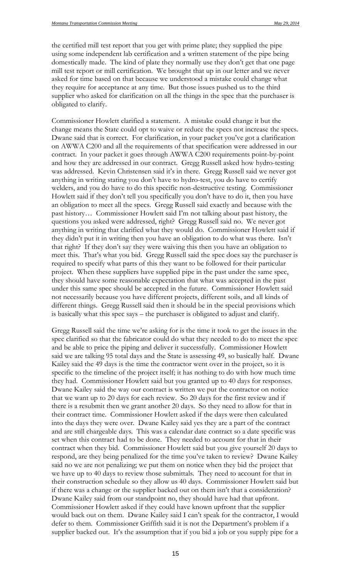the certified mill test report that you get with prime plate; they supplied the pipe using some independent lab certification and a written statement of the pipe being domestically made. The kind of plate they normally use they don't get that one page mill test report or mill certification. We brought that up in our letter and we never asked for time based on that because we understood a mistake could change what they require for acceptance at any time. But those issues pushed us to the third supplier who asked for clarification on all the things in the spec that the purchaser is obligated to clarify.

Commissioner Howlett clarified a statement. A mistake could change it but the change means the State could opt to waive or reduce the specs not increase the specs. Dwane said that is correct. For clarification, in your packet you've got a clarification on AWWA C200 and all the requirements of that specification were addressed in our contract. In your packet it goes through AWWA C200 requirements point-by-point and how they are addressed in our contract. Gregg Russell asked how hydro-testing was addressed. Kevin Christensen said it's in there. Gregg Russell said we never got anything in writing stating you don't have to hydro-test, you do have to certify welders, and you do have to do this specific non-destructive testing. Commissioner Howlett said if they don't tell you specifically you don't have to do it, then you have an obligation to meet all the specs. Gregg Russell said exactly and because with the past history… Commissioner Howlett said I'm not talking about past history, the questions you asked were addressed, right? Gregg Russell said no. We never got anything in writing that clarified what they would do. Commissioner Howlett said if they didn't put it in writing then you have an obligation to do what was there. Isn't that right? If they don't say they were waiving this then you have an obligation to meet this. That's what you bid. Gregg Russell said the spec does say the purchaser is required to specify what parts of this they want to be followed for their particular project. When these suppliers have supplied pipe in the past under the same spec, they should have some reasonable expectation that what was accepted in the past under this same spec should be accepted in the future. Commissioner Howlett said not necessarily because you have different projects, different soils, and all kinds of different things. Gregg Russell said then it should be in the special provisions which is basically what this spec says – the purchaser is obligated to adjust and clarify.

Gregg Russell said the time we're asking for is the time it took to get the issues in the spec clarified so that the fabricator could do what they needed to do to meet the spec and be able to price the piping and deliver it successfully. Commissioner Howlett said we are talking 95 total days and the State is assessing 49, so basically half. Dwane Kailey said the 49 days is the time the contractor went over in the project, so it is specific to the timeline of the project itself; it has nothing to do with how much time they had. Commissioner Howlett said but you granted up to 40 days for responses. Dwane Kailey said the way our contract is written we put the contractor on notice that we want up to 20 days for each review. So 20 days for the first review and if there is a resubmit then we grant another 20 days. So they need to allow for that in their contract time. Commissioner Howlett asked if the days were then calculated into the days they were over. Dwane Kailey said yes they are a part of the contract and are still chargeable days. This was a calendar date contract so a date specific was set when this contract had to be done. They needed to account for that in their contract when they bid. Commissioner Howlett said but you give yourself 20 days to respond, are they being penalized for the time you've taken to review? Dwane Kailey said no we are not penalizing; we put them on notice when they bid the project that we have up to 40 days to review those submittals. They need to account for that in their construction schedule so they allow us 40 days. Commissioner Howlett said but if there was a change or the supplier backed out on them isn't that a consideration? Dwane Kailey said from our standpoint no, they should have had that upfront. Commissioner Howlett asked if they could have known upfront that the supplier would back out on them. Dwane Kailey said I can't speak for the contractor, I would defer to them. Commissioner Griffith said it is not the Department's problem if a supplier backed out. It's the assumption that if you bid a job or you supply pipe for a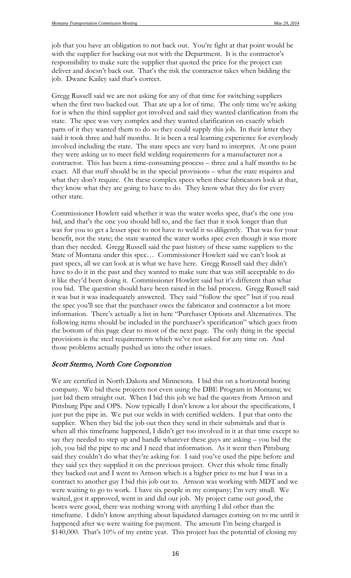job that you have an obligation to not back out. You're fight at that point would be with the supplier for backing out not with the Department. It is the contractor's responsibility to make sure the supplier that quoted the price for the project can deliver and doesn't back out. That's the risk the contractor takes when bidding the job. Dwane Kailey said that's correct.

Gregg Russell said we are not asking for any of that time for switching suppliers when the first two backed out. That ate up a lot of time. The only time we're asking for is when the third supplier got involved and said they wanted clarification from the state. The spec was very complex and they wanted clarification on exactly which parts of it they wanted them to do so they could supply this job. In their letter they said it took three and half months. It is been a real learning experience for everybody involved including the state. The state specs are very hard to interpret. At one point they were asking us to meet field welding requirements for a manufacturer not a contractor. This has been a time-consuming process – three and a half months to be exact. All that stuff should be in the special provisions – what the state requires and what they don't require. On these complex specs when these fabricators look at that, they know what they are going to have to do. They know what they do for every other state.

Commissioner Howlett said whether it was the water works spec, that's the one you bid, and that's the one you should bill to, and the fact that it took longer than that was for you to get a lesser spec to not have to weld it so diligently. That was for your benefit, not the state; the state wanted the water works spec even though it was more than they needed. Gregg Russell said the past history of these same suppliers to the State of Montana under this spec… Commissioner Howlett said we can't look at past specs, all we can look at is what we have here. Gregg Russell said they didn't have to do it in the past and they wanted to make sure that was still acceptable to do it like they'd been doing it. Commissioner Howlett said but it's different than what you bid. The question should have been raised in the bid process. Gregg Russell said it was but it was inadequately answered. They said "follow the spec" but if you read the spec you'll see that the purchaser owes the fabricator and contractor a lot more information. There's actually a list in here "Purchaser Options and Alternatives. The following items should be included in the purchaser's specification" which goes from the bottom of this page clear to most of the next page. The only thing in the special provisions is the steel requirements which we've not asked for any time on. And those problems actually pushed us into the other issues.

#### Scott Stermo, North Core Corporation

We are certified in North Dakota and Minnesota. I bid this on a horizontal boring company. We bid these projects not even using the DBE Program in Montana; we just bid them straight out. When I bid this job we had the quotes from Arnson and Pittsburg Pipe and OPS. Now typically I don't know a lot about the specifications, I just put the pipe in. We put our welds in with certified welders. I put that onto the supplier. When they bid the job out then they send in their submittals and that is when all this timeframe happened, I didn't get too involved in it at that time except to say they needed to step up and handle whatever these guys are asking – you bid the job, you bid the pipe to me and I need that information. As it went then Pittsburg said they couldn't do what they're asking for. I said you've used the pipe before and they said yes they supplied it on the previous project. Over this whole time finally they backed out and I went to Arnson which is a higher price to me but I was in a contract to another guy I bid this job out to. Arnson was working with MDT and we were waiting to go to work. I have six people in my company; I'm very small. We waited, got it approved, went in and did our job. My project came out good, the bores were good, there was nothing wrong with anything I did other than the timeframe. I didn't know anything about liquidated damages coming on to me until it happened after we were waiting for payment. The amount I'm being charged is \$140,000. That's 10% of my entire year. This project has the potential of closing my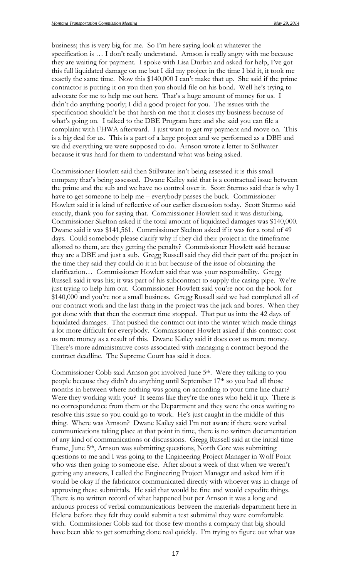business; this is very big for me. So I'm here saying look at whatever the specification is … I don't really understand. Arnson is really angry with me because they are waiting for payment. I spoke with Lisa Durbin and asked for help, I've got this full liquidated damage on me but I did my project in the time I bid it, it took me exactly the same time. Now this \$140,000 I can't make that up. She said if the prime contractor is putting it on you then you should file on his bond. Well he's trying to advocate for me to help me out here. That's a huge amount of money for us. I didn't do anything poorly; I did a good project for you. The issues with the specification shouldn't be that harsh on me that it closes my business because of what's going on. I talked to the DBE Program here and she said you can file a complaint with FHWA afterward. I just want to get my payment and move on. This is a big deal for us. This is a part of a large project and we performed as a DBE and we did everything we were supposed to do. Arnson wrote a letter to Stillwater because it was hard for them to understand what was being asked.

Commissioner Howlett said then Stillwater isn't being assessed it is this small company that's being assessed. Dwane Kailey said that is a contractual issue between the prime and the sub and we have no control over it. Scott Stermo said that is why I have to get someone to help me – everybody passes the buck. Commissioner Howlett said it is kind of reflective of our earlier discussion today. Scott Stermo said exactly, thank you for saying that. Commissioner Howlett said it was disturbing. Commissioner Skelton asked if the total amount of liquidated damages was \$140,000. Dwane said it was \$141,561. Commissioner Skelton asked if it was for a total of 49 days. Could somebody please clarify why if they did their project in the timeframe allotted to them, are they getting the penalty? Commissioner Howlett said because they are a DBE and just a sub. Gregg Russell said they did their part of the project in the time they said they could do it in but because of the issue of obtaining the clarification… Commissioner Howlett said that was your responsibility. Gregg Russell said it was his; it was part of his subcontract to supply the casing pipe. We're just trying to help him out. Commissioner Howlett said you're not on the hook for \$140,000 and you're not a small business. Gregg Russell said we had completed all of our contract work and the last thing in the project was the jack and bores. When they got done with that then the contract time stopped. That put us into the 42 days of liquidated damages. That pushed the contract out into the winter which made things a lot more difficult for everybody. Commissioner Howlett asked if this contract cost us more money as a result of this. Dwane Kailey said it does cost us more money. There's more administrative costs associated with managing a contract beyond the contract deadline. The Supreme Court has said it does.

Commissioner Cobb said Arnson got involved June 5th. Were they talking to you people because they didn't do anything until September 17th so you had all those months in between where nothing was going on according to your time line chart? Were they working with you? It seems like they're the ones who held it up. There is no correspondence from them or the Department and they were the ones waiting to resolve this issue so you could go to work. He's just caught in the middle of this thing. Where was Arnson? Dwane Kailey said I'm not aware if there were verbal communications taking place at that point in time, there is no written documentation of any kind of communications or discussions. Gregg Russell said at the initial time frame, June 5th, Arnson was submitting questions, North Core was submitting questions to me and I was going to the Engineering Project Manager in Wolf Point who was then going to someone else. After about a week of that when we weren't getting any answers, I called the Engineering Project Manager and asked him if it would be okay if the fabricator communicated directly with whoever was in charge of approving these submittals. He said that would be fine and would expedite things. There is no written record of what happened but per Arnson it was a long and arduous process of verbal communications between the materials department here in Helena before they felt they could submit a test submittal they were comfortable with. Commissioner Cobb said for those few months a company that big should have been able to get something done real quickly. I'm trying to figure out what was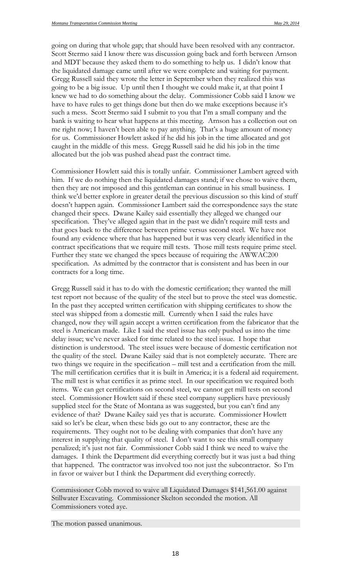going on during that whole gap; that should have been resolved with any contractor. Scott Stermo said I know there was discussion going back and forth between Arnson and MDT because they asked them to do something to help us. I didn't know that the liquidated damage came until after we were complete and waiting for payment. Gregg Russell said they wrote the letter in September when they realized this was going to be a big issue. Up until then I thought we could make it, at that point I knew we had to do something about the delay. Commissioner Cobb said I know we have to have rules to get things done but then do we make exceptions because it's such a mess. Scott Stermo said I submit to you that I'm a small company and the bank is waiting to hear what happens at this meeting. Arnson has a collection out on me right now; I haven't been able to pay anything. That's a huge amount of money for us. Commissioner Howlett asked if he did his job in the time allocated and got caught in the middle of this mess. Gregg Russell said he did his job in the time allocated but the job was pushed ahead past the contract time.

Commissioner Howlett said this is totally unfair. Commissioner Lambert agreed with him. If we do nothing then the liquidated damages stand; if we chose to waive them, then they are not imposed and this gentleman can continue in his small business. I think we'd better explore in greater detail the previous discussion so this kind of stuff doesn't happen again. Commissioner Lambert said the correspondence says the state changed their specs. Dwane Kailey said essentially they alleged we changed our specification. They've alleged again that in the past we didn't require mill tests and that goes back to the difference between prime versus second steel. We have not found any evidence where that has happened but it was very clearly identified in the contract specifications that we require mill tests. Those mill tests require prime steel. Further they state we changed the specs because of requiring the AWWAC200 specification. As admitted by the contractor that is consistent and has been in our contracts for a long time.

Gregg Russell said it has to do with the domestic certification; they wanted the mill test report not because of the quality of the steel but to prove the steel was domestic. In the past they accepted written certification with shipping certificates to show the steel was shipped from a domestic mill. Currently when I said the rules have changed, now they will again accept a written certification from the fabricator that the steel is American made. Like I said the steel issue has only pushed us into the time delay issue; we've never asked for time related to the steel issue. I hope that distinction is understood. The steel issues were because of domestic certification not the quality of the steel. Dwane Kailey said that is not completely accurate. There are two things we require in the specification – mill test and a certification from the mill. The mill certification certifies that it is built in America; it is a federal aid requirement. The mill test is what certifies it as prime steel. In our specification we required both items. We can get certifications on second steel, we cannot get mill tests on second steel. Commissioner Howlett said if these steel company suppliers have previously supplied steel for the State of Montana as was suggested, but you can't find any evidence of that? Dwane Kailey said yes that is accurate. Commissioner Howlett said so let's be clear, when these bids go out to any contractor, these are the requirements. They ought not to be dealing with companies that don't have any interest in supplying that quality of steel. I don't want to see this small company penalized; it's just not fair. Commissioner Cobb said I think we need to waive the damages. I think the Department did everything correctly but it was just a bad thing that happened. The contractor was involved too not just the subcontractor. So I'm in favor or waiver but I think the Department did everything correctly.

Commissioner Cobb moved to waive all Liquidated Damages \$141,561.00 against Stillwater Excavating. Commissioner Skelton seconded the motion. All Commissioners voted aye.

The motion passed unanimous.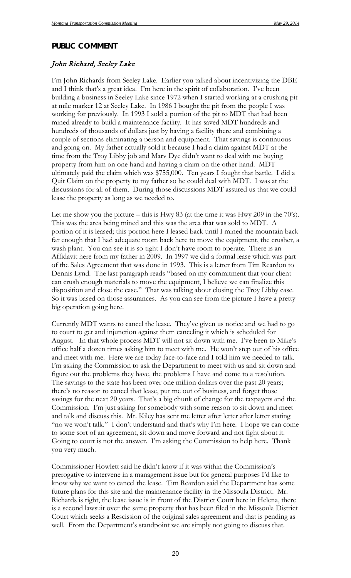#### *PUBLIC COMMENT*

#### John Richard, Seeley Lake

I'm John Richards from Seeley Lake. Earlier you talked about incentivizing the DBE and I think that's a great idea. I'm here in the spirit of collaboration. I've been building a business in Seeley Lake since 1972 when I started working at a crushing pit at mile marker 12 at Seeley Lake. In 1986 I bought the pit from the people I was working for previously. In 1993 I sold a portion of the pit to MDT that had been mined already to build a maintenance facility. It has saved MDT hundreds and hundreds of thousands of dollars just by having a facility there and combining a couple of sections eliminating a person and equipment. That savings is continuous and going on. My father actually sold it because I had a claim against MDT at the time from the Troy Libby job and Marv Dye didn't want to deal with me buying property from him on one hand and having a claim on the other hand. MDT ultimately paid the claim which was \$755,000. Ten years I fought that battle. I did a Quit Claim on the property to my father so he could deal with MDT. I was at the discussions for all of them. During those discussions MDT assured us that we could lease the property as long as we needed to.

Let me show you the picture – this is Hwy 83 (at the time it was Hwy 209 in the 70's). This was the area being mined and this was the area that was sold to MDT. A portion of it is leased; this portion here I leased back until I mined the mountain back far enough that I had adequate room back here to move the equipment, the crusher, a wash plant. You can see it is so tight I don't have room to operate. There is an Affidavit here from my father in 2009. In 1997 we did a formal lease which was part of the Sales Agreement that was done in 1993. This is a letter from Tim Reardon to Dennis Lynd. The last paragraph reads "based on my commitment that your client can crush enough materials to move the equipment, I believe we can finalize this disposition and close the case." That was talking about closing the Troy Libby case. So it was based on those assurances. As you can see from the picture I have a pretty big operation going here.

Currently MDT wants to cancel the lease. They've given us notice and we had to go to court to get and injunction against them canceling it which is scheduled for August. In that whole process MDT will not sit down with me. I've been to Mike's office half a dozen times asking him to meet with me. He won't step out of his office and meet with me. Here we are today face-to-face and I told him we needed to talk. I'm asking the Commission to ask the Department to meet with us and sit down and figure out the problems they have, the problems I have and come to a resolution. The savings to the state has been over one million dollars over the past 20 years; there's no reason to cancel that lease, put me out of business, and forget those savings for the next 20 years. That's a big chunk of change for the taxpayers and the Commission. I'm just asking for somebody with some reason to sit down and meet and talk and discuss this. Mr. Kiley has sent me letter after letter after letter stating "no we won't talk." I don't understand and that's why I'm here. I hope we can come to some sort of an agreement, sit down and move forward and not fight about it. Going to court is not the answer. I'm asking the Commission to help here. Thank you very much.

Commissioner Howlett said he didn't know if it was within the Commission's prerogative to intervene in a management issue but for general purposes I'd like to know why we want to cancel the lease. Tim Reardon said the Department has some future plans for this site and the maintenance facility in the Missoula District. Mr. Richards is right, the lease issue is in front of the District Court here in Helena, there is a second lawsuit over the same property that has been filed in the Missoula District Court which seeks a Rescission of the original sales agreement and that is pending as well. From the Department's standpoint we are simply not going to discuss that.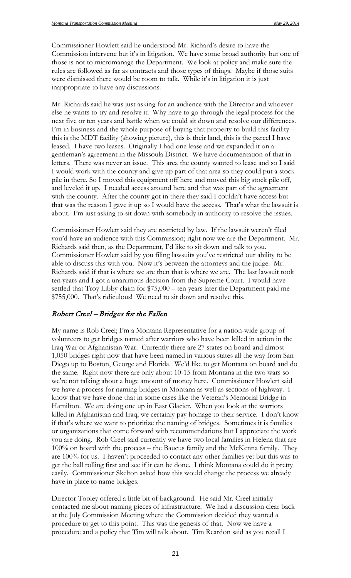Commissioner Howlett said he understood Mr. Richard's desire to have the Commission intervene but it's in litigation. We have some broad authority but one of those is not to micromanage the Department. We look at policy and make sure the rules are followed as far as contracts and those types of things. Maybe if those suits were dismissed there would be room to talk. While it's in litigation it is just inappropriate to have any discussions.

Mr. Richards said he was just asking for an audience with the Director and whoever else he wants to try and resolve it. Why have to go through the legal process for the next five or ten years and battle when we could sit down and resolve our differences. I'm in business and the whole purpose of buying that property to build this facility – this is the MDT facility (showing picture), this is their land, this is the parcel I have leased. I have two leases. Originally I had one lease and we expanded it on a gentleman's agreement in the Missoula District. We have documentation of that in letters. There was never an issue. This area the county wanted to lease and so I said I would work with the county and give up part of that area so they could put a stock pile in there. So I moved this equipment off here and moved this big stock pile off, and leveled it up. I needed access around here and that was part of the agreement with the county. After the county got in there they said I couldn't have access but that was the reason I gave it up so I would have the access. That's what the lawsuit is about. I'm just asking to sit down with somebody in authority to resolve the issues.

Commissioner Howlett said they are restricted by law. If the lawsuit weren't filed you'd have an audience with this Commission; right now we are the Department. Mr. Richards said then, as the Department, I'd like to sit down and talk to you. Commissioner Howlett said by you filing lawsuits you've restricted our ability to be able to discuss this with you. Now it's between the attorneys and the judge. Mr. Richards said if that is where we are then that is where we are. The last lawsuit took ten years and I got a unanimous decision from the Supreme Court. I would have settled that Troy Libby claim for \$75,000 – ten years later the Department paid me \$755,000. That's ridiculous! We need to sit down and resolve this.

#### Robert Creel – Bridges for the Fallen

My name is Rob Creel; I'm a Montana Representative for a nation-wide group of volunteers to get bridges named after warriors who have been killed in action in the Iraq War or Afghanistan War. Currently there are 27 states on board and almost 1,050 bridges right now that have been named in various states all the way from San Diego up to Boston, George and Florida. We'd like to get Montana on board and do the same. Right now there are only about 10-15 from Montana in the two wars so we're not talking about a huge amount of money here. Commissioner Howlett said we have a process for naming bridges in Montana as well as sections of highway. I know that we have done that in some cases like the Veteran's Memorial Bridge in Hamilton. We are doing one up in East Glacier. When you look at the warriors killed in Afghanistan and Iraq, we certainly pay homage to their service. I don't know if that's where we want to prioritize the naming of bridges. Sometimes it is families or organizations that come forward with recommendations but I appreciate the work you are doing. Rob Creel said currently we have two local families in Helena that are 100% on board with the process – the Baucus family and the McKenna family. They are 100% for us. I haven't proceeded to contact any other families yet but this was to get the ball rolling first and see if it can be done. I think Montana could do it pretty easily. Commissioner Skelton asked how this would change the process we already have in place to name bridges.

Director Tooley offered a little bit of background. He said Mr. Creel initially contacted me about naming pieces of infrastructure. We had a discussion clear back at the July Commission Meeting where the Commission decided they wanted a procedure to get to this point. This was the genesis of that. Now we have a procedure and a policy that Tim will talk about. Tim Reardon said as you recall I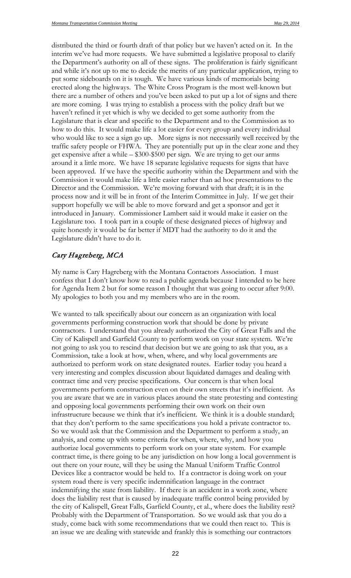distributed the third or fourth draft of that policy but we haven't acted on it. In the interim we've had more requests. We have submitted a legislative proposal to clarify the Department's authority on all of these signs. The proliferation is fairly significant and while it's not up to me to decide the merits of any particular application, trying to put some sideboards on it is tough. We have various kinds of memorials being erected along the highways. The White Cross Program is the most well-known but there are a number of others and you've been asked to put up a lot of signs and there are more coming. I was trying to establish a process with the policy draft but we haven't refined it yet which is why we decided to get some authority from the Legislature that is clear and specific to the Department and to the Commission as to how to do this. It would make life a lot easier for every group and every individual who would like to see a sign go up. More signs is not necessarily well received by the traffic safety people or FHWA. They are potentially put up in the clear zone and they get expensive after a while – \$300-\$500 per sign. We are trying to get our arms around it a little more. We have 18 separate legislative requests for signs that have been approved. If we have the specific authority within the Department and with the Commission it would make life a little easier rather than ad hoc presentations to the Director and the Commission. We're moving forward with that draft; it is in the process now and it will be in front of the Interim Committee in July. If we get their support hopefully we will be able to move forward and get a sponsor and get it introduced in January. Commissioner Lambert said it would make it easier on the Legislature too. I took part in a couple of these designated pieces of highway and quite honestly it would be far better if MDT had the authority to do it and the Legislature didn't have to do it.

#### Cary Hagreberg, MCA

My name is Cary Hagreberg with the Montana Contactors Association. I must confess that I don't know how to read a public agenda because I intended to be here for Agenda Item 2 but for some reason I thought that was going to occur after 9:00. My apologies to both you and my members who are in the room.

We wanted to talk specifically about our concern as an organization with local governments performing construction work that should be done by private contractors. I understand that you already authorized the City of Great Falls and the City of Kalispell and Garfield County to perform work on your state system. We're not going to ask you to rescind that decision but we are going to ask that you, as a Commission, take a look at how, when, where, and why local governments are authorized to perform work on state designated routes. Earlier today you heard a very interesting and complex discussion about liquidated damages and dealing with contract time and very precise specifications. Our concern is that when local governments perform construction even on their own streets that it's inefficient. As you are aware that we are in various places around the state protesting and contesting and opposing local governments performing their own work on their own infrastructure because we think that it's inefficient. We think it is a double standard; that they don't perform to the same specifications you hold a private contractor to. So we would ask that the Commission and the Department to perform a study, an analysis, and come up with some criteria for when, where, why, and how you authorize local governments to perform work on your state system. For example contract time, is there going to be any jurisdiction on how long a local government is out there on your route, will they be using the Manual Uniform Traffic Control Devices like a contractor would be held to. If a contractor is doing work on your system road there is very specific indemnification language in the contract indemnifying the state from liability. If there is an accident in a work zone, where does the liability rest that is caused by inadequate traffic control being provided by the city of Kalispell, Great Falls, Garfield County, et al., where does the liability rest? Probably with the Department of Transportation. So we would ask that you do a study, come back with some recommendations that we could then react to. This is an issue we are dealing with statewide and frankly this is something our contractors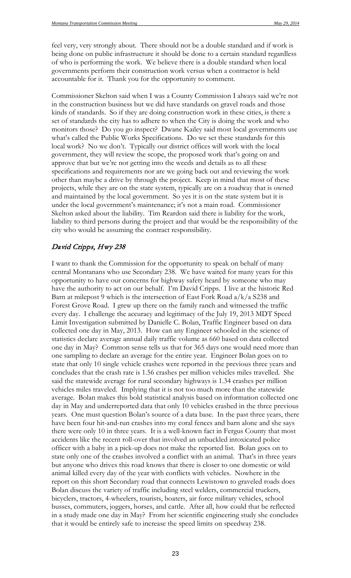feel very, very strongly about. There should not be a double standard and if work is being done on public infrastructure it should be done to a certain standard regardless of who is performing the work. We believe there is a double standard when local governments perform their construction work versus when a contractor is held accountable for it. Thank you for the opportunity to comment.

Commissioner Skelton said when I was a County Commission I always said we're not in the construction business but we did have standards on gravel roads and those kinds of standards. So if they are doing construction work in these cities, is there a set of standards the city has to adhere to when the City is doing the work and who monitors those? Do you go inspect? Dwane Kailey said most local governments use what's called the Public Works Specifications. Do we set these standards for this local work? No we don't. Typically our district offices will work with the local government, they will review the scope, the proposed work that's going on and approve that but we're not getting into the weeds and details as to all these specifications and requirements nor are we going back out and reviewing the work other than maybe a drive by through the project. Keep in mind that most of these projects, while they are on the state system, typically are on a roadway that is owned and maintained by the local government. So yes it is on the state system but it is under the local government's maintenance; it's not a main road. Commissioner Skelton asked about the liability. Tim Reardon said there is liability for the work, liability to third persons during the project and that would be the responsibility of the city who would be assuming the contract responsibility.

#### David Cripps, Hwy 238

I want to thank the Commission for the opportunity to speak on behalf of many central Montanans who use Secondary 238. We have waited for many years for this opportunity to have our concerns for highway safety heard by someone who may have the authority to act on our behalf. I'm David Cripps. I live at the historic Red Barn at milepost 9 which is the intersection of East Fork Road a/k/a S238 and Forest Grove Road. I grew up there on the family ranch and witnessed the traffic every day. I challenge the accuracy and legitimacy of the July 19, 2013 MDT Speed Limit Investigation submitted by Danielle C. Bolan, Traffic Engineer based on data collected one day in May, 2013. How can any Engineer schooled in the science of statistics declare average annual daily traffic volume as 660 based on data collected one day in May? Common sense tells us that for 365 days one would need more than one sampling to declare an average for the entire year. Engineer Bolan goes on to state that only 10 single vehicle crashes were reported in the previous three years and concludes that the crash rate is 1.56 crashes per million vehicles miles travelled. She said the statewide average for rural secondary highways is 1.34 crashes per million vehicles miles traveled. Implying that it is not too much more than the statewide average. Bolan makes this bold statistical analysis based on information collected one day in May and underreported data that only 10 vehicles crashed in the three previous years. One must question Bolan's source of a data base. In the past three years, there have been four hit-and-run crashes into my coral fences and barn alone and she says there were only 10 in three years. It is a well-known fact in Fergus County that most accidents like the recent roll-over that involved an unbuckled intoxicated police officer with a baby in a pick-up does not make the reported list. Bolan goes on to state only one of the crashes involved a conflict with an animal. That's in three years but anyone who drives this road knows that there is closer to one domestic or wild animal killed every day of the year with conflicts with vehicles. Nowhere in the report on this short Secondary road that connects Lewistown to graveled roads does Bolan discuss the variety of traffic including steel welders, commercial truckers, bicyclers, tractors, 4-wheelers, tourists, boaters, air force military vehicles, school busses, commuters, joggers, horses, and cattle. After all, how could that be reflected in a study made one day in May? From her scientific engineering study she concludes that it would be entirely safe to increase the speed limits on speedway 238.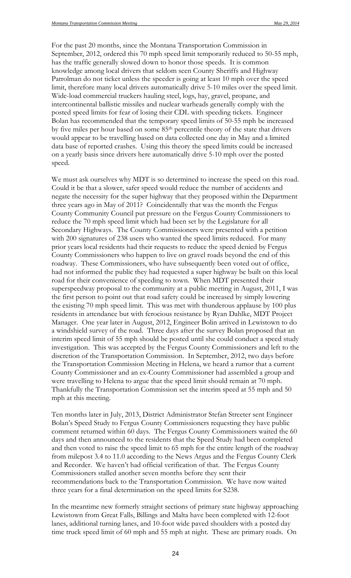For the past 20 months, since the Montana Transportation Commission in September, 2012, ordered this 70 mph speed limit temporarily reduced to 50-55 mph, has the traffic generally slowed down to honor those speeds. It is common knowledge among local drivers that seldom seen County Sheriffs and Highway Patrolman do not ticket unless the speeder is going at least 10 mph over the speed limit, therefore many local drivers automatically drive 5-10 miles over the speed limit. Wide-load commercial truckers hauling steel, logs, hay, gravel, propane, and intercontinental ballistic missiles and nuclear warheads generally comply with the posted speed limits for fear of losing their CDL with speeding tickets. Engineer Bolan has recommended that the temporary speed limits of 50-55 mph be increased by five miles per hour based on some 85<sup>th</sup> percentile theory of the state that drivers would appear to be travelling based on data collected one day in May and a limited data base of reported crashes. Using this theory the speed limits could be increased on a yearly basis since drivers here automatically drive 5-10 mph over the posted speed.

We must ask ourselves why MDT is so determined to increase the speed on this road. Could it be that a slower, safer speed would reduce the number of accidents and negate the necessity for the super highway that they proposed within the Department three years ago in May of 2011? Coincidentally that was the month the Fergus County Community Council put pressure on the Fergus County Commissioners to reduce the 70 mph speed limit which had been set by the Legislature for all Secondary Highways. The County Commissioners were presented with a petition with 200 signatures of 238 users who wanted the speed limits reduced. For many prior years local residents had their requests to reduce the speed denied by Fergus County Commissioners who happen to live on gravel roads beyond the end of this roadway. These Commissioners, who have subsequently been voted out of office, had not informed the public they had requested a super highway be built on this local road for their convenience of speeding to town. When MDT presented their superspeedway proposal to the community at a public meeting in August, 2011, I was the first person to point out that road safety could be increased by simply lowering the existing 70 mph speed limit. This was met with thunderous applause by 100 plus residents in attendance but with ferocious resistance by Ryan Dahlke, MDT Project Manager. One year later in August, 2012, Engineer Bolin arrived in Lewistown to do a windshield survey of the road. Three days after the survey Bolan proposed that an interim speed limit of 55 mph should be posted until she could conduct a speed study investigation. This was accepted by the Fergus County Commissioners and left to the discretion of the Transportation Commission. In September, 2012, two days before the Transportation Commission Meeting in Helena, we heard a rumor that a current County Commissioner and an ex-County Commissioner had assembled a group and were travelling to Helena to argue that the speed limit should remain at 70 mph. Thankfully the Transportation Commission set the interim speed at 55 mph and 50 mph at this meeting.

Ten months later in July, 2013, District Administrator Stefan Streeter sent Engineer Bolan's Speed Study to Fergus County Commissioners requesting they have public comment returned within 60 days. The Fergus County Commissioners waited the 60 days and then announced to the residents that the Speed Study had been completed and then voted to raise the speed limit to 65 mph for the entire length of the roadway from milepost 3.4 to 11.0 according to the News Argus and the Fergus County Clerk and Recorder. We haven't had official verification of that. The Fergus County Commissioners stalled another seven months before they sent their recommendations back to the Transportation Commission. We have now waited three years for a final determination on the speed limits for S238.

In the meantime new formerly straight sections of primary state highway approaching Lewistown from Great Falls, Billings and Malta have been completed with 12-foot lanes, additional turning lanes, and 10-foot wide paved shoulders with a posted day time truck speed limit of 60 mph and 55 mph at night. These are primary roads. On

24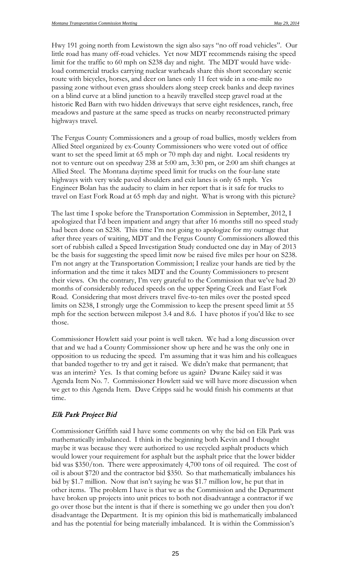Hwy 191 going north from Lewistown the sign also says "no off road vehicles". Our little road has many off-road vehicles. Yet now MDT recommends raising the speed limit for the traffic to 60 mph on S238 day and night. The MDT would have wideload commercial trucks carrying nuclear warheads share this short secondary scenic route with bicycles, horses, and deer on lanes only 11 feet wide in a one-mile no passing zone without even grass shoulders along steep creek banks and deep ravines on a blind curve at a blind junction to a heavily travelled steep gravel road at the historic Red Barn with two hidden driveways that serve eight residences, ranch, free meadows and pasture at the same speed as trucks on nearby reconstructed primary highways travel.

The Fergus County Commissioners and a group of road bullies, mostly welders from Allied Steel organized by ex-County Commissioners who were voted out of office want to set the speed limit at 65 mph or 70 mph day and night. Local residents try not to venture out on speedway 238 at 5:00 am, 3:30 pm, or 2:00 am shift changes at Allied Steel. The Montana daytime speed limit for trucks on the four-lane state highways with very wide paved shoulders and exit lanes is only 65 mph. Yes Engineer Bolan has the audacity to claim in her report that is it safe for trucks to travel on East Fork Road at 65 mph day and night. What is wrong with this picture?

The last time I spoke before the Transportation Commission in September, 2012, I apologized that I'd been impatient and angry that after 16 months still no speed study had been done on S238. This time I'm not going to apologize for my outrage that after three years of waiting, MDT and the Fergus County Commissioners allowed this sort of rubbish called a Speed Investigation Study conducted one day in May of 2013 be the basis for suggesting the speed limit now be raised five miles per hour on S238. I'm not angry at the Transportation Commission; I realize your hands are tied by the information and the time it takes MDT and the County Commissioners to present their views. On the contrary, I'm very grateful to the Commission that we've had 20 months of considerably reduced speeds on the upper Spring Creek and East Fork Road. Considering that most drivers travel five-to-ten miles over the posted speed limits on S238, I strongly urge the Commission to keep the present speed limit at 55 mph for the section between milepost 3.4 and 8.6. I have photos if you'd like to see those.

Commissioner Howlett said your point is well taken. We had a long discussion over that and we had a County Commissioner show up here and he was the only one in opposition to us reducing the speed. I'm assuming that it was him and his colleagues that banded together to try and get it raised. We didn't make that permanent; that was an interim? Yes. Is that coming before us again? Dwane Kailey said it was Agenda Item No. 7. Commissioner Howlett said we will have more discussion when we get to this Agenda Item. Dave Cripps said he would finish his comments at that time.

#### Elk Park Project Bid

Commissioner Griffith said I have some comments on why the bid on Elk Park was mathematically imbalanced. I think in the beginning both Kevin and I thought maybe it was because they were authorized to use recycled asphalt products which would lower your requirement for asphalt but the asphalt price that the lower bidder bid was \$350/ton. There were approximately 4,700 tons of oil required. The cost of oil is about \$720 and the contractor bid \$350. So that mathematically imbalances his bid by \$1.7 million. Now that isn't saying he was \$1.7 million low, he put that in other items. The problem I have is that we as the Commission and the Department have broken up projects into unit prices to both not disadvantage a contractor if we go over those but the intent is that if there is something we go under then you don't disadvantage the Department. It is my opinion this bid is mathematically imbalanced and has the potential for being materially imbalanced. It is within the Commission's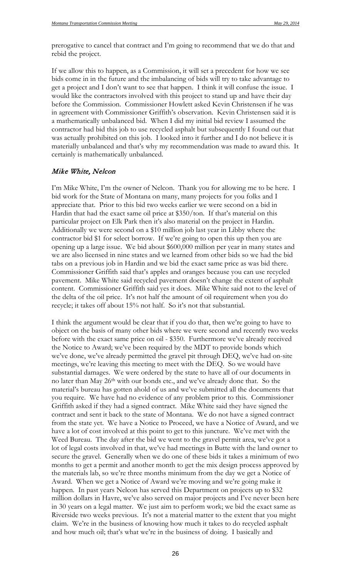prerogative to cancel that contract and I'm going to recommend that we do that and rebid the project.

If we allow this to happen, as a Commission, it will set a precedent for how we see bids come in in the future and the imbalancing of bids will try to take advantage to get a project and I don't want to see that happen. I think it will confuse the issue. I would like the contractors involved with this project to stand up and have their day before the Commission. Commissioner Howlett asked Kevin Christensen if he was in agreement with Commissioner Griffith's observation. Kevin Christensen said it is a mathematically unbalanced bid. When I did my initial bid review I assumed the contractor had bid this job to use recycled asphalt but subsequently I found out that was actually prohibited on this job. I looked into it further and I do not believe it is materially unbalanced and that's why my recommendation was made to award this. It certainly is mathematically unbalanced.

#### Mike White, Nelcon

I'm Mike White, I'm the owner of Nelcon. Thank you for allowing me to be here. I bid work for the State of Montana on many, many projects for you folks and I appreciate that. Prior to this bid two weeks earlier we were second on a bid in Hardin that had the exact same oil price at \$350/ton. If that's material on this particular project on Elk Park then it's also material on the project in Hardin. Additionally we were second on a \$10 million job last year in Libby where the contractor bid \$1 for select borrow. If we're going to open this up then you are opening up a large issue. We bid about \$600,000 million per year in many states and we are also licensed in nine states and we learned from other bids so we had the bid tabs on a previous job in Hardin and we bid the exact same price as was bid there. Commissioner Griffith said that's apples and oranges because you can use recycled pavement. Mike White said recycled pavement doesn't change the extent of asphalt content. Commissioner Griffith said yes it does. Mike White said not to the level of the delta of the oil price. It's not half the amount of oil requirement when you do recycle; it takes off about 15% not half. So it's not that substantial.

I think the argument would be clear that if you do that, then we're going to have to object on the basis of many other bids where we were second and recently two weeks before with the exact same price on oil - \$350. Furthermore we've already received the Notice to Award; we've been required by the MDT to provide bonds which we've done, we've already permitted the gravel pit through DEQ, we've had on-site meetings, we're leaving this meeting to meet with the DEQ. So we would have substantial damages. We were ordered by the state to have all of our documents in no later than May 26th with our bonds etc., and we've already done that. So the material's bureau has gotten ahold of us and we've submitted all the documents that you require. We have had no evidence of any problem prior to this. Commissioner Griffith asked if they had a signed contract. Mike White said they have signed the contract and sent it back to the state of Montana. We do not have a signed contract from the state yet. We have a Notice to Proceed, we have a Notice of Award, and we have a lot of cost involved at this point to get to this juncture. We've met with the Weed Bureau. The day after the bid we went to the gravel permit area, we've got a lot of legal costs involved in that, we've had meetings in Butte with the land owner to secure the gravel. Generally when we do one of these bids it takes a minimum of two months to get a permit and another month to get the mix design process approved by the materials lab, so we're three months minimum from the day we get a Notice of Award. When we get a Notice of Award we're moving and we're going make it happen. In past years Nelcon has served this Department on projects up to \$32 million dollars in Havre, we've also served on major projects and I've never been here in 30 years on a legal matter. We just aim to perform work; we bid the exact same as Riverside two weeks previous. It's not a material matter to the extent that you might claim. We're in the business of knowing how much it takes to do recycled asphalt and how much oil; that's what we're in the business of doing. I basically and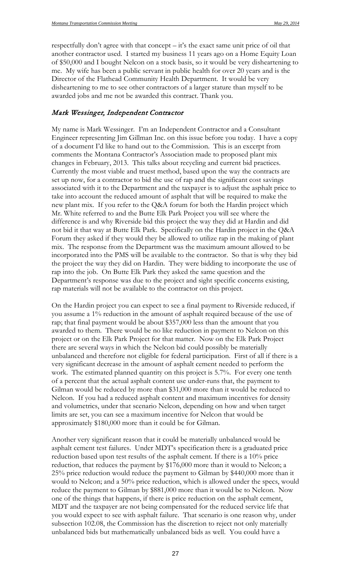respectfully don't agree with that concept – it's the exact same unit price of oil that another contractor used. I started my business 11 years ago on a Home Equity Loan of \$50,000 and I bought Nelcon on a stock basis, so it would be very disheartening to me. My wife has been a public servant in public health for over 20 years and is the Director of the Flathead Community Health Department. It would be very disheartening to me to see other contractors of a larger stature than myself to be awarded jobs and me not be awarded this contract. Thank you.

#### Mark Wessinger, Independent Contractor

My name is Mark Wessinger. I'm an Independent Contractor and a Consultant Engineer representing Jim Gillman Inc. on this issue before you today. I have a copy of a document I'd like to hand out to the Commission. This is an excerpt from comments the Montana Contractor's Association made to proposed plant mix changes in February, 2013. This talks about recycling and current bid practices. Currently the most viable and truest method, based upon the way the contracts are set up now, for a contractor to bid the use of rap and the significant cost savings associated with it to the Department and the taxpayer is to adjust the asphalt price to take into account the reduced amount of asphalt that will be required to make the new plant mix. If you refer to the Q&A forum for both the Hardin project which Mr. White referred to and the Butte Elk Park Project you will see where the difference is and why Riverside bid this project the way they did at Hardin and did not bid it that way at Butte Elk Park. Specifically on the Hardin project in the Q&A Forum they asked if they would they be allowed to utilize rap in the making of plant mix. The response from the Department was the maximum amount allowed to be incorporated into the PMS will be available to the contractor. So that is why they bid the project the way they did on Hardin. They were bidding to incorporate the use of rap into the job. On Butte Elk Park they asked the same question and the Department's response was due to the project and sight specific concerns existing, rap materials will not be available to the contractor on this project.

On the Hardin project you can expect to see a final payment to Riverside reduced, if you assume a 1% reduction in the amount of asphalt required because of the use of rap; that final payment would be about \$357,000 less than the amount that you awarded to them. There would be no like reduction in payment to Nelcon on this project or on the Elk Park Project for that matter. Now on the Elk Park Project there are several ways in which the Nelcon bid could possibly be materially unbalanced and therefore not eligible for federal participation. First of all if there is a very significant decrease in the amount of asphalt cement needed to perform the work. The estimated planned quantity on this project is 5.7%. For every one tenth of a percent that the actual asphalt content use under-runs that, the payment to Gilman would be reduced by more than \$31,000 more than it would be reduced to Nelcon. If you had a reduced asphalt content and maximum incentives for density and volumetrics, under that scenario Nelcon, depending on how and when target limits are set, you can see a maximum incentive for Nelcon that would be approximately \$180,000 more than it could be for Gilman.

Another very significant reason that it could be materially unbalanced would be asphalt cement test failures. Under MDT's specification there is a graduated price reduction based upon test results of the asphalt cement. If there is a 10% price reduction, that reduces the payment by \$176,000 more than it would to Nelcon; a 25% price reduction would reduce the payment to Gilman by \$440,000 more than it would to Nelcon; and a 50% price reduction, which is allowed under the specs, would reduce the payment to Gilman by \$881,000 more than it would be to Nelcon. Now one of the things that happens, if there is price reduction on the asphalt cement, MDT and the taxpayer are not being compensated for the reduced service life that you would expect to see with asphalt failure. That scenario is one reason why, under subsection 102.08, the Commission has the discretion to reject not only materially unbalanced bids but mathematically unbalanced bids as well. You could have a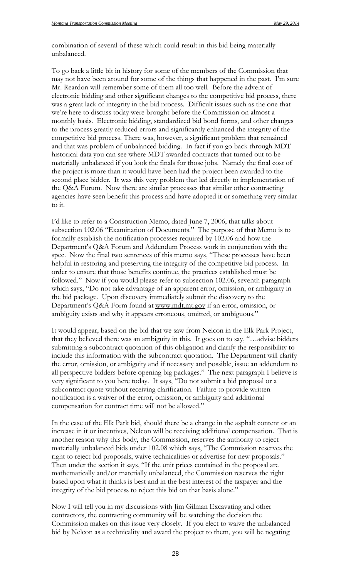combination of several of these which could result in this bid being materially unbalanced.

To go back a little bit in history for some of the members of the Commission that may not have been around for some of the things that happened in the past. I'm sure Mr. Reardon will remember some of them all too well. Before the advent of electronic bidding and other significant changes to the competitive bid process, there was a great lack of integrity in the bid process. Difficult issues such as the one that we're here to discuss today were brought before the Commission on almost a monthly basis. Electronic bidding, standardized bid bond forms, and other changes to the process greatly reduced errors and significantly enhanced the integrity of the competitive bid process. There was, however, a significant problem that remained and that was problem of unbalanced bidding. In fact if you go back through MDT historical data you can see where MDT awarded contracts that turned out to be materially unbalanced if you look the finals for those jobs. Namely the final cost of the project is more than it would have been had the project been awarded to the second place bidder. It was this very problem that led directly to implementation of the Q&A Forum. Now there are similar processes that similar other contracting agencies have seen benefit this process and have adopted it or something very similar to it.

I'd like to refer to a Construction Memo, dated June 7, 2006, that talks about subsection 102.06 "Examination of Documents." The purpose of that Memo is to formally establish the notification processes required by 102.06 and how the Department's Q&A Forum and Addendum Process work in conjunction with the spec. Now the final two sentences of this memo says, "These processes have been helpful in restoring and preserving the integrity of the competitive bid process. In order to ensure that those benefits continue, the practices established must be followed." Now if you would please refer to subsection 102.06, seventh paragraph which says, "Do not take advantage of an apparent error, omission, or ambiguity in the bid package. Upon discovery immediately submit the discovery to the Department's Q&A Form found at www.mdt.mt.gov if an error, omission, or ambiguity exists and why it appears erroneous, omitted, or ambiguous."

It would appear, based on the bid that we saw from Nelcon in the Elk Park Project, that they believed there was an ambiguity in this. It goes on to say, "…advise bidders submitting a subcontract quotation of this obligation and clarify the responsibility to include this information with the subcontract quotation. The Department will clarify the error, omission, or ambiguity and if necessary and possible, issue an addendum to all perspective bidders before opening big packages." The next paragraph I believe is very significant to you here today. It says, "Do not submit a bid proposal or a subcontract quote without receiving clarification. Failure to provide written notification is a waiver of the error, omission, or ambiguity and additional compensation for contract time will not be allowed."

In the case of the Elk Park bid, should there be a change in the asphalt content or an increase in it or incentives, Nelcon will be receiving additional compensation. That is another reason why this body, the Commission, reserves the authority to reject materially unbalanced bids under 102.08 which says, "The Commission reserves the right to reject bid proposals, waive technicalities or advertise for new proposals." Then under the section it says, "If the unit prices contained in the proposal are mathematically and/or materially unbalanced, the Commission reserves the right based upon what it thinks is best and in the best interest of the taxpayer and the integrity of the bid process to reject this bid on that basis alone."

Now I will tell you in my discussions with Jim Gilman Excavating and other contractors, the contracting community will be watching the decision the Commission makes on this issue very closely. If you elect to waive the unbalanced bid by Nelcon as a technicality and award the project to them, you will be negating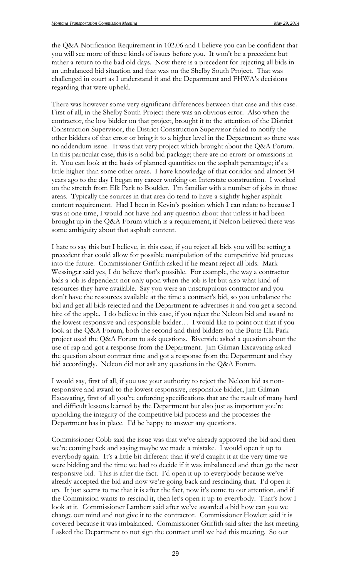the Q&A Notification Requirement in 102.06 and I believe you can be confident that you will see more of these kinds of issues before you. It won't be a precedent but rather a return to the bad old days. Now there is a precedent for rejecting all bids in an unbalanced bid situation and that was on the Shelby South Project. That was challenged in court as I understand it and the Department and FHWA's decisions regarding that were upheld.

There was however some very significant differences between that case and this case. First of all, in the Shelby South Project there was an obvious error. Also when the contractor, the low bidder on that project, brought it to the attention of the District Construction Supervisor, the District Construction Supervisor failed to notify the other bidders of that error or bring it to a higher level in the Department so there was no addendum issue. It was that very project which brought about the Q&A Forum. In this particular case, this is a solid bid package; there are no errors or omissions in it. You can look at the basis of planned quantities on the asphalt percentage; it's a little higher than some other areas. I have knowledge of that corridor and almost 34 years ago to the day I began my career working on Interstate construction. I worked on the stretch from Elk Park to Boulder. I'm familiar with a number of jobs in those areas. Typically the sources in that area do tend to have a slightly higher asphalt content requirement. Had I been in Kevin's position which I can relate to because I was at one time, I would not have had any question about that unless it had been brought up in the Q&A Forum which is a requirement, if Nelcon believed there was some ambiguity about that asphalt content.

I hate to say this but I believe, in this case, if you reject all bids you will be setting a precedent that could allow for possible manipulation of the competitive bid process into the future. Commissioner Griffith asked if he meant reject all bids. Mark Wessinger said yes, I do believe that's possible. For example, the way a contractor bids a job is dependent not only upon when the job is let but also what kind of resources they have available. Say you were an unscrupulous contractor and you don't have the resources available at the time a contract's bid, so you unbalance the bid and get all bids rejected and the Department re-advertises it and you get a second bite of the apple. I do believe in this case, if you reject the Nelcon bid and award to the lowest responsive and responsible bidder… I would like to point out that if you look at the Q&A Forum, both the second and third bidders on the Butte Elk Park project used the Q&A Forum to ask questions. Riverside asked a question about the use of rap and got a response from the Department. Jim Gilman Excavating asked the question about contract time and got a response from the Department and they bid accordingly. Nelcon did not ask any questions in the Q&A Forum.

I would say, first of all, if you use your authority to reject the Nelcon bid as nonresponsive and award to the lowest responsive, responsible bidder, Jim Gilman Excavating, first of all you're enforcing specifications that are the result of many hard and difficult lessons learned by the Department but also just as important you're upholding the integrity of the competitive bid process and the processes the Department has in place. I'd be happy to answer any questions.

Commissioner Cobb said the issue was that we've already approved the bid and then we're coming back and saying maybe we made a mistake. I would open it up to everybody again. It's a little bit different than if we'd caught it at the very time we were bidding and the time we had to decide if it was imbalanced and then go the next responsive bid. This is after the fact. I'd open it up to everybody because we've already accepted the bid and now we're going back and rescinding that. I'd open it up. It just seems to me that it is after the fact, now it's come to our attention, and if the Commission wants to rescind it, then let's open it up to everybody. That's how I look at it. Commissioner Lambert said after we've awarded a bid how can you we change our mind and not give it to the contractor. Commissioner Howlett said it is covered because it was imbalanced. Commissioner Griffith said after the last meeting I asked the Department to not sign the contract until we had this meeting. So our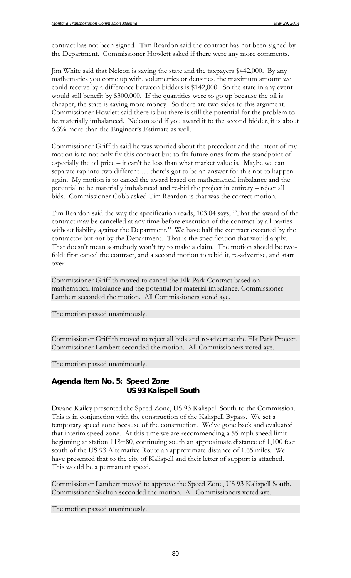contract has not been signed. Tim Reardon said the contract has not been signed by the Department. Commissioner Howlett asked if there were any more comments.

Jim White said that Nelcon is saving the state and the taxpayers \$442,000. By any mathematics you come up with, volumetrics or densities, the maximum amount we could receive by a difference between bidders is \$142,000. So the state in any event would still benefit by \$300,000. If the quantities were to go up because the oil is cheaper, the state is saving more money. So there are two sides to this argument. Commissioner Howlett said there is but there is still the potential for the problem to be materially imbalanced. Nelcon said if you award it to the second bidder, it is about 6.3% more than the Engineer's Estimate as well.

Commissioner Griffith said he was worried about the precedent and the intent of my motion is to not only fix this contract but to fix future ones from the standpoint of especially the oil price – it can't be less than what market value is. Maybe we can separate rap into two different … there's got to be an answer for this not to happen again. My motion is to cancel the award based on mathematical imbalance and the potential to be materially imbalanced and re-bid the project in entirety – reject all bids. Commissioner Cobb asked Tim Reardon is that was the correct motion.

Tim Reardon said the way the specification reads, 103.04 says, "That the award of the contract may be cancelled at any time before execution of the contract by all parties without liability against the Department." We have half the contract executed by the contractor but not by the Department. That is the specification that would apply. That doesn't mean somebody won't try to make a claim. The motion should be twofold: first cancel the contract, and a second motion to rebid it, re-advertise, and start over.

Commissioner Griffith moved to cancel the Elk Park Contract based on mathematical imbalance and the potential for material imbalance. Commissioner Lambert seconded the motion. All Commissioners voted aye.

The motion passed unanimously.

Commissioner Griffith moved to reject all bids and re-advertise the Elk Park Project. Commissioner Lambert seconded the motion. All Commissioners voted aye.

The motion passed unanimously.

### *Agenda Item No. 5: Speed Zone US 93 Kalispell South*

Dwane Kailey presented the Speed Zone, US 93 Kalispell South to the Commission. This is in conjunction with the construction of the Kalispell Bypass. We set a temporary speed zone because of the construction. We've gone back and evaluated that interim speed zone. At this time we are recommending a 55 mph speed limit beginning at station 118+80, continuing south an approximate distance of 1,100 feet south of the US 93 Alternative Route an approximate distance of 1.65 miles. We have presented that to the city of Kalispell and their letter of support is attached. This would be a permanent speed.

Commissioner Lambert moved to approve the Speed Zone, US 93 Kalispell South. Commissioner Skelton seconded the motion. All Commissioners voted aye.

The motion passed unanimously.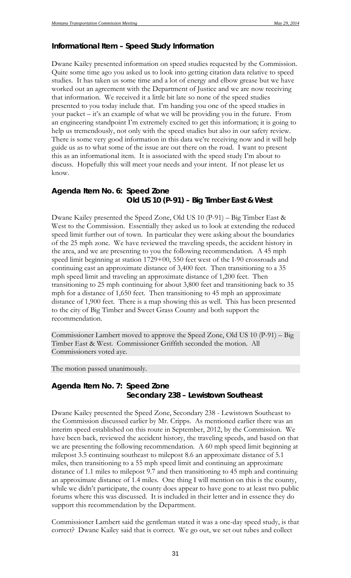# *Informational Item – Speed Study Information*

Dwane Kailey presented information on speed studies requested by the Commission. Quite some time ago you asked us to look into getting citation data relative to speed studies. It has taken us some time and a lot of energy and elbow grease but we have worked out an agreement with the Department of Justice and we are now receiving that information. We received it a little bit late so none of the speed studies presented to you today include that. I'm handing you one of the speed studies in your packet – it's an example of what we will be providing you in the future. From an engineering standpoint I'm extremely excited to get this information; it is going to help us tremendously, not only with the speed studies but also in our safety review. There is some very good information in this data we're receiving now and it will help guide us as to what some of the issue are out there on the road. I want to present this as an informational item. It is associated with the speed study I'm about to discuss. Hopefully this will meet your needs and your intent. If not please let us know.

# *Agenda Item No. 6: Speed Zone Old US 10 (P-91) – Big Timber East & West*

Dwane Kailey presented the Speed Zone, Old US 10 (P-91) – Big Timber East & West to the Commission. Essentially they asked us to look at extending the reduced speed limit further out of town. In particular they were asking about the boundaries of the 25 mph zone. We have reviewed the traveling speeds, the accident history in the area, and we are presenting to you the following recommendation. A 45 mph speed limit beginning at station 1729+00, 550 feet west of the I-90 crossroads and continuing east an approximate distance of 3,400 feet. Then transitioning to a 35 mph speed limit and traveling an approximate distance of 1,200 feet. Then transitioning to 25 mph continuing for about 3,800 feet and transitioning back to 35 mph for a distance of 1,650 feet. Then transitioning to 45 mph an approximate distance of 1,900 feet. There is a map showing this as well. This has been presented to the city of Big Timber and Sweet Grass County and both support the recommendation.

Commissioner Lambert moved to approve the Speed Zone, Old US 10 (P-91) – Big Timber East & West. Commissioner Griffith seconded the motion. All Commissioners voted aye.

The motion passed unanimously.

# *Agenda Item No. 7: Speed Zone Secondary 238 – Lewistown Southeast*

Dwane Kailey presented the Speed Zone, Secondary 238 - Lewistown Southeast to the Commission discussed earlier by Mr. Cripps. As mentioned earlier there was an interim speed established on this route in September, 2012, by the Commission. We have been back, reviewed the accident history, the traveling speeds, and based on that we are presenting the following recommendation. A 60 mph speed limit beginning at milepost 3.5 continuing southeast to milepost 8.6 an approximate distance of 5.1 miles, then transitioning to a 55 mph speed limit and continuing an approximate distance of 1.1 miles to milepost 9.7 and then transitioning to 45 mph and continuing an approximate distance of 1.4 miles. One thing I will mention on this is the county, while we didn't participate, the county does appear to have gone to at least two public forums where this was discussed. It is included in their letter and in essence they do support this recommendation by the Department.

Commissioner Lambert said the gentleman stated it was a one-day speed study, is that correct? Dwane Kailey said that is correct. We go out, we set out tubes and collect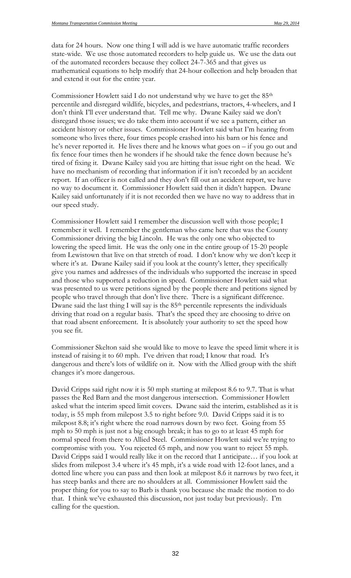data for 24 hours. Now one thing I will add is we have automatic traffic recorders state-wide. We use those automated recorders to help guide us. We use the data out of the automated recorders because they collect 24-7-365 and that gives us mathematical equations to help modify that 24-hour collection and help broaden that and extend it out for the entire year.

Commissioner Howlett said I do not understand why we have to get the 85th percentile and disregard wildlife, bicycles, and pedestrians, tractors, 4-wheelers, and I don't think I'll ever understand that. Tell me why. Dwane Kailey said we don't disregard those issues; we do take them into account if we see a pattern, either an accident history or other issues. Commissioner Howlett said what I'm hearing from someone who lives there, four times people crashed into his barn or his fence and he's never reported it. He lives there and he knows what goes on – if you go out and fix fence four times then he wonders if he should take the fence down because he's tired of fixing it. Dwane Kailey said you are hitting that issue right on the head. We have no mechanism of recording that information if it isn't recorded by an accident report. If an officer is not called and they don't fill out an accident report, we have no way to document it. Commissioner Howlett said then it didn't happen. Dwane Kailey said unfortunately if it is not recorded then we have no way to address that in our speed study.

Commissioner Howlett said I remember the discussion well with those people; I remember it well. I remember the gentleman who came here that was the County Commissioner driving the big Lincoln. He was the only one who objected to lowering the speed limit. He was the only one in the entire group of 15-20 people from Lewistown that live on that stretch of road. I don't know why we don't keep it where it's at. Dwane Kailey said if you look at the county's letter, they specifically give you names and addresses of the individuals who supported the increase in speed and those who supported a reduction in speed. Commissioner Howlett said what was presented to us were petitions signed by the people there and petitions signed by people who travel through that don't live there. There is a significant difference. Dwane said the last thing I will say is the 85<sup>th</sup> percentile represents the individuals driving that road on a regular basis. That's the speed they are choosing to drive on that road absent enforcement. It is absolutely your authority to set the speed how you see fit.

Commissioner Skelton said she would like to move to leave the speed limit where it is instead of raising it to 60 mph. I've driven that road; I know that road. It's dangerous and there's lots of wildlife on it. Now with the Allied group with the shift changes it's more dangerous.

David Cripps said right now it is 50 mph starting at milepost 8.6 to 9.7. That is what passes the Red Barn and the most dangerous intersection. Commissioner Howlett asked what the interim speed limit covers. Dwane said the interim, established as it is today, is 55 mph from milepost 3.5 to right before 9.0. David Cripps said it is to milepost 8.8; it's right where the road narrows down by two feet. Going from 55 mph to 50 mph is just not a big enough break; it has to go to at least 45 mph for normal speed from there to Allied Steel. Commissioner Howlett said we're trying to compromise with you. You rejected 65 mph, and now you want to reject 55 mph. David Cripps said I would really like it on the record that I anticipate... if you look at slides from milepost 3.4 where it's 45 mph, it's a wide road with 12-foot lanes, and a dotted line where you can pass and then look at milepost 8.6 it narrows by two feet, it has steep banks and there are no shoulders at all. Commissioner Howlett said the proper thing for you to say to Barb is thank you because she made the motion to do that. I think we've exhausted this discussion, not just today but previously. I'm calling for the question.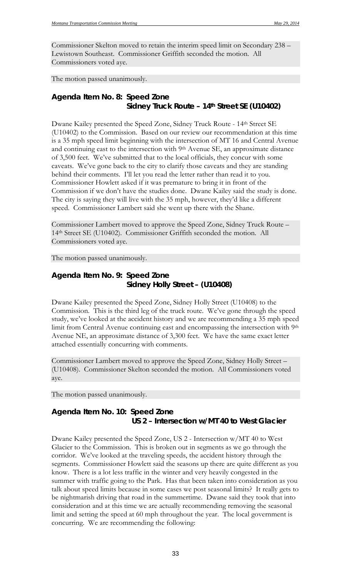Commissioner Skelton moved to retain the interim speed limit on Secondary 238 – Lewistown Southeast. Commissioner Griffith seconded the motion. All Commissioners voted aye.

The motion passed unanimously.

# *Agenda Item No. 8: Speed Zone Sidney Truck Route – 14th Street SE (U10402)*

Dwane Kailey presented the Speed Zone, Sidney Truck Route - 14th Street SE (U10402) to the Commission. Based on our review our recommendation at this time is a 35 mph speed limit beginning with the intersection of MT 16 and Central Avenue and continuing east to the intersection with 9th Avenue SE, an approximate distance of 3,500 feet. We've submitted that to the local officials, they concur with some caveats. We've gone back to the city to clarify those caveats and they are standing behind their comments. I'll let you read the letter rather than read it to you. Commissioner Howlett asked if it was premature to bring it in front of the Commission if we don't have the studies done. Dwane Kailey said the study is done. The city is saying they will live with the 35 mph, however, they'd like a different speed. Commissioner Lambert said she went up there with the Shane.

Commissioner Lambert moved to approve the Speed Zone, Sidney Truck Route – 14th Street SE (U10402). Commissioner Griffith seconded the motion. All Commissioners voted aye.

The motion passed unanimously.

# *Agenda Item No. 9: Speed Zone Sidney Holly Street – (U10408)*

Dwane Kailey presented the Speed Zone, Sidney Holly Street (U10408) to the Commission. This is the third leg of the truck route. We've gone through the speed study, we've looked at the accident history and we are recommending a 35 mph speed limit from Central Avenue continuing east and encompassing the intersection with 9th Avenue NE, an approximate distance of 3,300 feet. We have the same exact letter attached essentially concurring with comments.

Commissioner Lambert moved to approve the Speed Zone, Sidney Holly Street – (U10408). Commissioner Skelton seconded the motion. All Commissioners voted aye.

The motion passed unanimously.

# *Agenda Item No. 10: Speed Zone US 2 – Intersection w/MT 40 to West Glacier*

Dwane Kailey presented the Speed Zone, US 2 - Intersection w/MT 40 to West Glacier to the Commission. This is broken out in segments as we go through the corridor. We've looked at the traveling speeds, the accident history through the segments. Commissioner Howlett said the seasons up there are quite different as you know. There is a lot less traffic in the winter and very heavily congested in the summer with traffic going to the Park. Has that been taken into consideration as you talk about speed limits because in some cases we post seasonal limits? It really gets to be nightmarish driving that road in the summertime. Dwane said they took that into consideration and at this time we are actually recommending removing the seasonal limit and setting the speed at 60 mph throughout the year. The local government is concurring. We are recommending the following: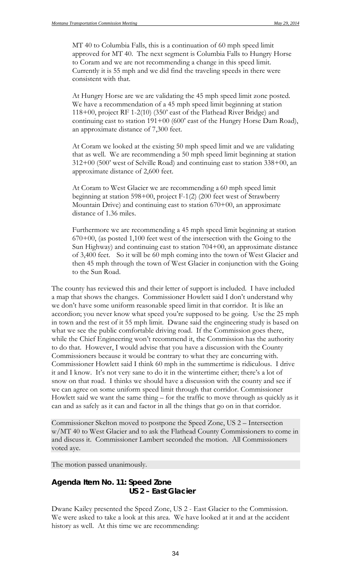MT 40 to Columbia Falls, this is a continuation of 60 mph speed limit approved for MT 40. The next segment is Columbia Falls to Hungry Horse to Coram and we are not recommending a change in this speed limit. Currently it is 55 mph and we did find the traveling speeds in there were consistent with that.

At Hungry Horse are we are validating the 45 mph speed limit zone posted. We have a recommendation of a 45 mph speed limit beginning at station 118+00, project RF 1-2(10) (350' east of the Flathead River Bridge) and continuing east to station 191+00 (600' east of the Hungry Horse Dam Road), an approximate distance of 7,300 feet.

At Coram we looked at the existing 50 mph speed limit and we are validating that as well. We are recommending a 50 mph speed limit beginning at station 312+00 (500' west of Selville Road) and continuing east to station 338+00, an approximate distance of 2,600 feet.

At Coram to West Glacier we are recommending a 60 mph speed limit beginning at station 598+00, project F-1(2) (200 feet west of Strawberry Mountain Drive) and continuing east to station  $670+00$ , an approximate distance of 1.36 miles.

Furthermore we are recommending a 45 mph speed limit beginning at station 670+00, (as posted 1,100 feet west of the intersection with the Going to the Sun Highway) and continuing east to station 704+00, an approximate distance of 3,400 feet.So it will be 60 mph coming into the town of West Glacier and then 45 mph through the town of West Glacier in conjunction with the Going to the Sun Road.

The county has reviewed this and their letter of support is included. I have included a map that shows the changes. Commissioner Howlett said I don't understand why we don't have some uniform reasonable speed limit in that corridor. It is like an accordion; you never know what speed you're supposed to be going. Use the 25 mph in town and the rest of it 55 mph limit. Dwane said the engineering study is based on what we see the public comfortable driving road. If the Commission goes there, while the Chief Engineering won't recommend it, the Commission has the authority to do that. However, I would advise that you have a discussion with the County Commissioners because it would be contrary to what they are concurring with. Commissioner Howlett said I think 60 mph in the summertime is ridiculous. I drive it and I know. It's not very sane to do it in the wintertime either; there's a lot of snow on that road. I thinks we should have a discussion with the county and see if we can agree on some uniform speed limit through that corridor. Commissioner Howlett said we want the same thing – for the traffic to move through as quickly as it can and as safely as it can and factor in all the things that go on in that corridor.

Commissioner Skelton moved to postpone the Speed Zone, US 2 – Intersection w/MT 40 to West Glacier and to ask the Flathead County Commissioners to come in and discuss it. Commissioner Lambert seconded the motion. All Commissioners voted aye.

The motion passed unanimously.

# *Agenda Item No. 11: Speed Zone US 2 – East Glacier*

Dwane Kailey presented the Speed Zone, US 2 - East Glacier to the Commission. We were asked to take a look at this area. We have looked at it and at the accident history as well. At this time we are recommending: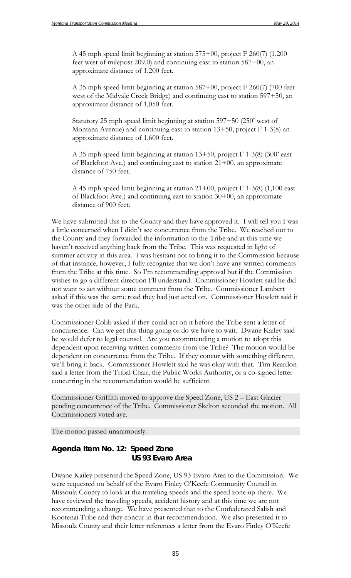A 45 mph speed limit beginning at station 575+00, project F 260(7) (1,200 feet west of milepost 209.0) and continuing east to station 587+00, an approximate distance of 1,200 feet.

A 35 mph speed limit beginning at station 587+00, project F 260(7) (700 feet west of the Midvale Creek Bridge) and continuing east to station 597+50, an approximate distance of 1,050 feet.

Statutory 25 mph speed limit beginning at station 597+50 (250' west of Montana Avenue) and continuing east to station 13+50, project F 1-3(8) an approximate distance of 1,600 feet.

A 35 mph speed limit beginning at station 13+50, project F 1-3(8) (300' east of Blackfoot Ave.) and continuing east to station  $21+00$ , an approximate distance of 750 feet.

A 45 mph speed limit beginning at station 21+00, project F 1-3(8) (1,100 east of Blackfoot Ave.) and continuing east to station 30+00, an approximate distance of 900 feet.

We have submitted this to the County and they have approved it. I will tell you I was a little concerned when I didn't see concurrence from the Tribe. We reached out to the County and they forwarded the information to the Tribe and at this time we haven't received anything back from the Tribe. This was requested in light of summer activity in this area. I was hesitant not to bring it to the Commission because of that instance, however, I fully recognize that we don't have any written comments from the Tribe at this time. So I'm recommending approval but if the Commission wishes to go a different direction I'll understand. Commissioner Howlett said he did not want to act without some comment from the Tribe. Commissioner Lambert asked if this was the same road they had just acted on. Commissioner Howlett said it was the other side of the Park.

Commissioner Cobb asked if they could act on it before the Tribe sent a letter of concurrence. Can we get this thing going or do we have to wait. Dwane Kailey said he would defer to legal counsel. Are you recommending a motion to adopt this dependent upon receiving written comments from the Tribe? The motion would be dependent on concurrence from the Tribe. If they concur with something different, we'll bring it back. Commissioner Howlett said he was okay with that. Tim Reardon said a letter from the Tribal Chair, the Public Works Authority, or a co-signed letter concurring in the recommendation would be sufficient.

Commissioner Griffith moved to approve the Speed Zone, US 2 – East Glacier pending concurrence of the Tribe. Commissioner Skelton seconded the motion. All Commissioners voted aye.

The motion passed unanimously.

### *Agenda Item No. 12: Speed Zone US 93 Evaro Area*

Dwane Kailey presented the Speed Zone, US 93 Evaro Area to the Commission. We were requested on behalf of the Evaro Finley O'Keefe Community Council in Missoula County to look at the traveling speeds and the speed zone up there. We have reviewed the traveling speeds, accident history and at this time we are not recommending a change. We have presented that to the Confederated Salish and Kootenai Tribe and they concur in that recommendation. We also presented it to Missoula County and their letter references a letter from the Evaro Finley O'Keefe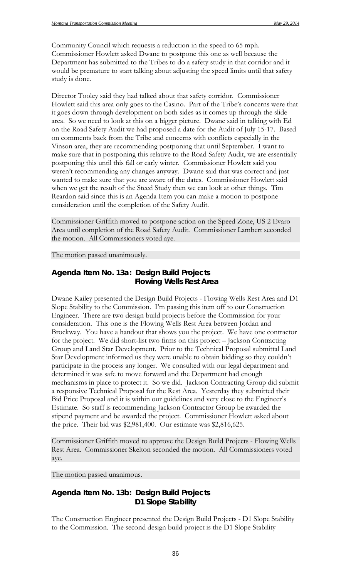Community Council which requests a reduction in the speed to 65 mph. Commissioner Howlett asked Dwane to postpone this one as well because the Department has submitted to the Tribes to do a safety study in that corridor and it would be premature to start talking about adjusting the speed limits until that safety study is done.

Director Tooley said they had talked about that safety corridor. Commissioner Howlett said this area only goes to the Casino. Part of the Tribe's concerns were that it goes down through development on both sides as it comes up through the slide area. So we need to look at this on a bigger picture. Dwane said in talking with Ed on the Road Safety Audit we had proposed a date for the Audit of July 15-17. Based on comments back from the Tribe and concerns with conflicts especially in the Vinson area, they are recommending postponing that until September. I want to make sure that in postponing this relative to the Road Safety Audit, we are essentially postponing this until this fall or early winter. Commissioner Howlett said you weren't recommending any changes anyway. Dwane said that was correct and just wanted to make sure that you are aware of the dates. Commissioner Howlett said when we get the result of the Steed Study then we can look at other things. Tim Reardon said since this is an Agenda Item you can make a motion to postpone consideration until the completion of the Safety Audit.

Commissioner Griffith moved to postpone action on the Speed Zone, US 2 Evaro Area until completion of the Road Safety Audit. Commissioner Lambert seconded the motion. All Commissioners voted aye.

#### The motion passed unanimously.

### *Agenda Item No. 13a: Design Build Projects Flowing Wells Rest Area*

Dwane Kailey presented the Design Build Projects - Flowing Wells Rest Area and D1 Slope Stability to the Commission. I'm passing this item off to our Construction Engineer. There are two design build projects before the Commission for your consideration. This one is the Flowing Wells Rest Area between Jordan and Brockway. You have a handout that shows you the project. We have one contractor for the project. We did short-list two firms on this project – Jackson Contracting Group and Land Star Development. Prior to the Technical Proposal submittal Land Star Development informed us they were unable to obtain bidding so they couldn't participate in the process any longer. We consulted with our legal department and determined it was safe to move forward and the Department had enough mechanisms in place to protect it. So we did. Jackson Contracting Group did submit a responsive Technical Proposal for the Rest Area. Yesterday they submitted their Bid Price Proposal and it is within our guidelines and very close to the Engineer's Estimate. So staff is recommending Jackson Contractor Group be awarded the stipend payment and be awarded the project. Commissioner Howlett asked about the price. Their bid was \$2,981,400. Our estimate was \$2,816,625.

Commissioner Griffith moved to approve the Design Build Projects - Flowing Wells Rest Area. Commissioner Skelton seconded the motion. All Commissioners voted aye.

The motion passed unanimous.

### *Agenda Item No. 13b: Design Build Projects D1 Slope Stability*

The Construction Engineer presented the Design Build Projects - D1 Slope Stability to the Commission. The second design build project is the D1 Slope Stability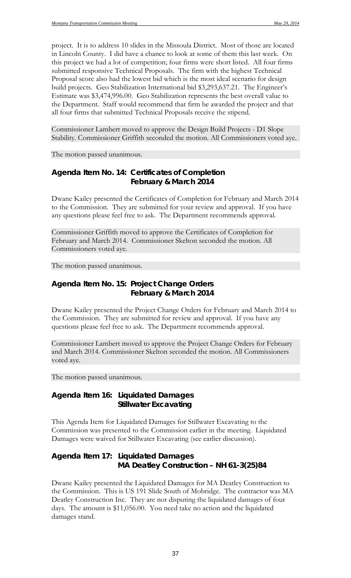project. It is to address 10 slides in the Missoula District. Most of those are located in Lincoln County. I did have a chance to look at some of them this last week. On this project we had a lot of competition; four firms were short listed. All four firms submitted responsive Technical Proposals. The firm with the highest Technical Proposal score also had the lowest bid which is the most ideal scenario for design build projects. Geo Stabilization International bid \$3,293,637.21. The Engineer's Estimate was \$3,474,996.00. Geo Stabilization represents the best overall value to the Department. Staff would recommend that firm be awarded the project and that all four firms that submitted Technical Proposals receive the stipend.

Commissioner Lambert moved to approve the Design Build Projects - D1 Slope Stability. Commissioner Griffith seconded the motion. All Commissioners voted aye.

The motion passed unanimous.

### *Agenda Item No. 14: Certificates of Completion February & March 2014*

Dwane Kailey presented the Certificates of Completion for February and March 2014 to the Commission. They are submitted for your review and approval. If you have any questions please feel free to ask. The Department recommends approval.

Commissioner Griffith moved to approve the Certificates of Completion for February and March 2014. Commissioner Skelton seconded the motion. All Commissioners voted aye.

The motion passed unanimous.

# *Agenda Item No. 15: Project Change Orders February & March 2014*

Dwane Kailey presented the Project Change Orders for February and March 2014 to the Commission. They are submitted for review and approval. If you have any questions please feel free to ask. The Department recommends approval.

Commissioner Lambert moved to approve the Project Change Orders for February and March 2014. Commissioner Skelton seconded the motion. All Commissioners voted aye.

The motion passed unanimous.

### *Agenda Item 16: Liquidated Damages Stillwater Excavating*

This Agenda Item for Liquidated Damages for Stillwater Excavating to the Commission was presented to the Commission earlier in the meeting. Liquidated Damages were waived for Stillwater Excavating (see earlier discussion).

# *Agenda Item 17: Liquidated Damages MA Deatley Construction – NH 61-3(25)84*

Dwane Kailey presented the Liquidated Damages for MA Deatley Construction to the Commission. This is US 191 Slide South of Mobridge. The contractor was MA Deatley Construction Inc. They are not disputing the liquidated damages of four days. The amount is \$11,056.00. You need take no action and the liquidated damages stand.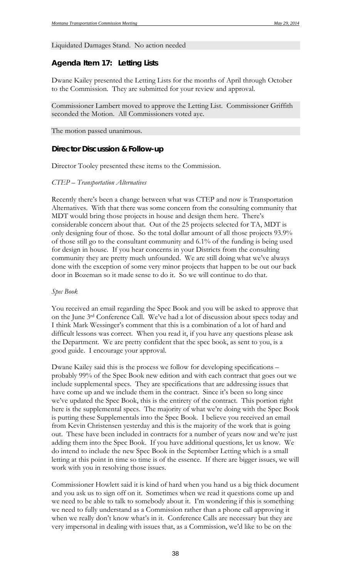#### Liquidated Damages Stand. No action needed

#### *Agenda Item 17: Letting Lists*

Dwane Kailey presented the Letting Lists for the months of April through October to the Commission. They are submitted for your review and approval.

Commissioner Lambert moved to approve the Letting List. Commissioner Griffith seconded the Motion. All Commissioners voted aye.

The motion passed unanimous.

#### **Director Discussion & Follow-up**

Director Tooley presented these items to the Commission.

#### *CTEP – Transportation Alternatives*

Recently there's been a change between what was CTEP and now is Transportation Alternatives. With that there was some concern from the consulting community that MDT would bring those projects in house and design them here. There's considerable concern about that. Out of the 25 projects selected for TA, MDT is only designing four of those. So the total dollar amount of all those projects 93.9% of those still go to the consultant community and 6.1% of the funding is being used for design in house. If you hear concerns in your Districts from the consulting community they are pretty much unfounded. We are still doing what we've always done with the exception of some very minor projects that happen to be out our back door in Bozeman so it made sense to do it. So we will continue to do that.

#### *Spec Book*

You received an email regarding the Spec Book and you will be asked to approve that on the June 3rd Conference Call. We've had a lot of discussion about specs today and I think Mark Wessinger's comment that this is a combination of a lot of hard and difficult lessons was correct. When you read it, if you have any questions please ask the Department. We are pretty confident that the spec book, as sent to you, is a good guide. I encourage your approval.

Dwane Kailey said this is the process we follow for developing specifications – probably 99% of the Spec Book new edition and with each contract that goes out we include supplemental specs. They are specifications that are addressing issues that have come up and we include them in the contract. Since it's been so long since we've updated the Spec Book, this is the entirety of the contract. This portion right here is the supplemental specs. The majority of what we're doing with the Spec Book is putting these Supplementals into the Spec Book. I believe you received an email from Kevin Christensen yesterday and this is the majority of the work that is going out. These have been included in contracts for a number of years now and we're just adding them into the Spec Book. If you have additional questions, let us know. We do intend to include the new Spec Book in the September Letting which is a small letting at this point in time so time is of the essence. If there are bigger issues, we will work with you in resolving those issues.

Commissioner Howlett said it is kind of hard when you hand us a big thick document and you ask us to sign off on it. Sometimes when we read it questions come up and we need to be able to talk to somebody about it. I'm wondering if this is something we need to fully understand as a Commission rather than a phone call approving it when we really don't know what's in it. Conference Calls are necessary but they are very impersonal in dealing with issues that, as a Commission, we'd like to be on the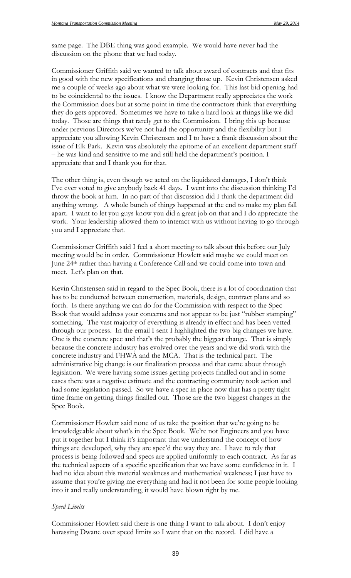same page. The DBE thing was good example. We would have never had the discussion on the phone that we had today.

Commissioner Griffith said we wanted to talk about award of contracts and that fits in good with the new specifications and changing those up. Kevin Christensen asked me a couple of weeks ago about what we were looking for. This last bid opening had to be coincidental to the issues. I know the Department really appreciates the work the Commission does but at some point in time the contractors think that everything they do gets approved. Sometimes we have to take a hard look at things like we did today. Those are things that rarely get to the Commission. I bring this up because under previous Directors we've not had the opportunity and the flexibility but I appreciate you allowing Kevin Christensen and I to have a frank discussion about the issue of Elk Park. Kevin was absolutely the epitome of an excellent department staff – he was kind and sensitive to me and still held the department's position. I appreciate that and I thank you for that.

The other thing is, even though we acted on the liquidated damages, I don't think I've ever voted to give anybody back 41 days. I went into the discussion thinking I'd throw the book at him. In no part of that discussion did I think the department did anything wrong. A whole bunch of things happened at the end to make my plan fall apart. I want to let you guys know you did a great job on that and I do appreciate the work. Your leadership allowed them to interact with us without having to go through you and I appreciate that.

Commissioner Griffith said I feel a short meeting to talk about this before our July meeting would be in order. Commissioner Howlett said maybe we could meet on June 24th rather than having a Conference Call and we could come into town and meet. Let's plan on that.

Kevin Christensen said in regard to the Spec Book, there is a lot of coordination that has to be conducted between construction, materials, design, contract plans and so forth. Is there anything we can do for the Commission with respect to the Spec Book that would address your concerns and not appear to be just "rubber stamping" something. The vast majority of everything is already in effect and has been vetted through our process. In the email I sent I highlighted the two big changes we have. One is the concrete spec and that's the probably the biggest change. That is simply because the concrete industry has evolved over the years and we did work with the concrete industry and FHWA and the MCA. That is the technical part. The administrative big change is our finalization process and that came about through legislation. We were having some issues getting projects finalled out and in some cases there was a negative estimate and the contracting community took action and had some legislation passed. So we have a spec in place now that has a pretty tight time frame on getting things finalled out. Those are the two biggest changes in the Spec Book.

Commissioner Howlett said none of us take the position that we're going to be knowledgeable about what's in the Spec Book. We're not Engineers and you have put it together but I think it's important that we understand the concept of how things are developed, why they are spec'd the way they are. I have to rely that process is being followed and specs are applied uniformly to each contract. As far as the technical aspects of a specific specification that we have some confidence in it. I had no idea about this material weakness and mathematical weakness; I just have to assume that you're giving me everything and had it not been for some people looking into it and really understanding, it would have blown right by me.

#### *Speed Limits*

Commissioner Howlett said there is one thing I want to talk about. I don't enjoy harassing Dwane over speed limits so I want that on the record. I did have a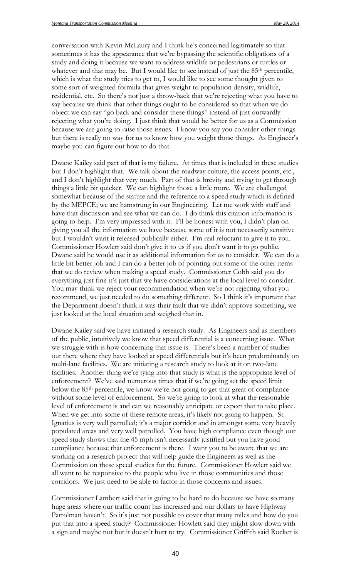conversation with Kevin McLaury and I think he's concerned legitimately so that sometimes it has the appearance that we're bypassing the scientific obligations of a study and doing it because we want to address wildlife or pedestrians or turtles or whatever and that may be. But I would like to see instead of just the 85<sup>th</sup> percentile, which is what the study tries to get to, I would like to see some thought given to some sort of weighted formula that gives weight to population density, wildlife, residential, etc. So there's not just a throw-back that we're rejecting what you have to say because we think that other things ought to be considered so that when we do object we can say "go back and consider these things" instead of just outwardly rejecting what you're doing. I just think that would be better for us as a Commission because we are going to raise those issues. I know you say you consider other things but there is really no way for us to know how you weight those things. As Engineer's maybe you can figure out how to do that.

Dwane Kailey said part of that is my failure. At times that is included in these studies but I don't highlight that. We talk about the roadway culture, the access points, etc., and I don't highlight that very much. Part of that is brevity and trying to get through things a little bit quicker. We can highlight those a little more. We are challenged somewhat because of the statute and the reference to a speed study which is defined by the MEPCE; we are hamstrung in our Engineering. Let me work with staff and have that discussion and see what we can do. I do think this citation information is going to help. I'm very impressed with it. I'll be honest with you, I didn't plan on giving you all the information we have because some of it is not necessarily sensitive but I wouldn't want it released publically either. I'm real reluctant to give it to you. Commissioner Howlett said don't give it to us if you don't want it to go public. Dwane said he would use it as additional information for us to consider. We can do a little bit better job and I can do a better job of pointing out some of the other items that we do review when making a speed study. Commissioner Cobb said you do everything just fine it's just that we have considerations at the local level to consider. You may think we reject your recommendation when we're not rejecting what you recommend, we just needed to do something different. So I think it's important that the Department doesn't think it was their fault that we didn't approve something, we just looked at the local situation and weighed that in.

Dwane Kailey said we have initiated a research study. As Engineers and as members of the public, intuitively we know that speed differential is a concerning issue. What we struggle with is how concerning that issue is. There's been a number of studies out there where they have looked at speed differentials but it's been predominately on multi-lane facilities. We are initiating a research study to look at it on two-lane facilities. Another thing we're tying into that study is what is the appropriate level of enforcement? We've said numerous times that if we're going set the speed limit below the 85<sup>th</sup> percentile, we know we're not going to get that great of compliance without some level of enforcement. So we're going to look at what the reasonable level of enforcement is and can we reasonably anticipate or expect that to take place. When we get into some of these remote areas, it's likely not going to happen. St. Ignatius is very well patrolled; it's a major corridor and in amongst some very heavily populated areas and very well patrolled. You have high compliance even though our speed study shows that the 45 mph isn't necessarily justified but you have good compliance because that enforcement is there. I want you to be aware that we are working on a research project that will help guide the Engineers as well as the Commission on these speed studies for the future. Commissioner Howlett said we all want to be responsive to the people who live in those communities and those corridors. We just need to be able to factor in those concerns and issues.

Commissioner Lambert said that is going to be hard to do because we have so many huge areas where our traffic count has increased and our dollars to have Highway Patrolman haven't. So it's just not possible to cover that many miles and how do you put that into a speed study? Commissioner Howlett said they might slow down with a sign and maybe not but it doesn't hurt to try. Commissioner Griffith said Rocker is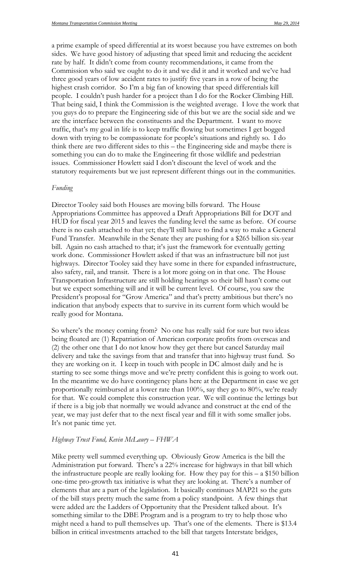a prime example of speed differential at its worst because you have extremes on both sides. We have good history of adjusting that speed limit and reducing the accident rate by half. It didn't come from county recommendations, it came from the Commission who said we ought to do it and we did it and it worked and we've had three good years of low accident rates to justify five years in a row of being the highest crash corridor. So I'm a big fan of knowing that speed differentials kill people. I couldn't push harder for a project than I do for the Rocker Climbing Hill. That being said, I think the Commission is the weighted average. I love the work that you guys do to prepare the Engineering side of this but we are the social side and we are the interface between the constituents and the Department. I want to move traffic, that's my goal in life is to keep traffic flowing but sometimes I get bogged down with trying to be compassionate for people's situations and rightly so. I do think there are two different sides to this – the Engineering side and maybe there is something you can do to make the Engineering fit those wildlife and pedestrian issues. Commissioner Howlett said I don't discount the level of work and the statutory requirements but we just represent different things out in the communities.

#### *Funding*

Director Tooley said both Houses are moving bills forward. The House Appropriations Committee has approved a Draft Appropriations Bill for DOT and HUD for fiscal year 2015 and leaves the funding level the same as before. Of course there is no cash attached to that yet; they'll still have to find a way to make a General Fund Transfer. Meanwhile in the Senate they are pushing for a \$265 billion six-year bill. Again no cash attached to that; it's just the framework for eventually getting work done. Commissioner Howlett asked if that was an infrastructure bill not just highways. Director Tooley said they have some in there for expanded infrastructure, also safety, rail, and transit. There is a lot more going on in that one. The House Transportation Infrastructure are still holding hearings so their bill hasn't come out but we expect something will and it will be current level. Of course, you saw the President's proposal for "Grow America" and that's pretty ambitious but there's no indication that anybody expects that to survive in its current form which would be really good for Montana.

So where's the money coming from? No one has really said for sure but two ideas being floated are (1) Repatriation of American corporate profits from overseas and (2) the other one that I do not know how they get there but cancel Saturday mail delivery and take the savings from that and transfer that into highway trust fund. So they are working on it. I keep in touch with people in DC almost daily and he is starting to see some things move and we're pretty confident this is going to work out. In the meantime we do have contingency plans here at the Department in case we get proportionally reimbursed at a lower rate than 100%, say they go to 80%, we're ready for that. We could complete this construction year. We will continue the lettings but if there is a big job that normally we would advance and construct at the end of the year, we may just defer that to the next fiscal year and fill it with some smaller jobs. It's not panic time yet.

#### *Highway Trust Fund, Kevin McLaury – FHWA*

Mike pretty well summed everything up. Obviously Grow America is the bill the Administration put forward. There's a 22% increase for highways in that bill which the infrastructure people are really looking for. How they pay for this  $- a $150$  billion one-time pro-growth tax initiative is what they are looking at. There's a number of elements that are a part of the legislation. It basically continues MAP21 so the guts of the bill stays pretty much the same from a policy standpoint. A few things that were added are the Ladders of Opportunity that the President talked about. It's something similar to the DBE Program and is a program to try to help those who might need a hand to pull themselves up. That's one of the elements. There is \$13.4 billion in critical investments attached to the bill that targets Interstate bridges,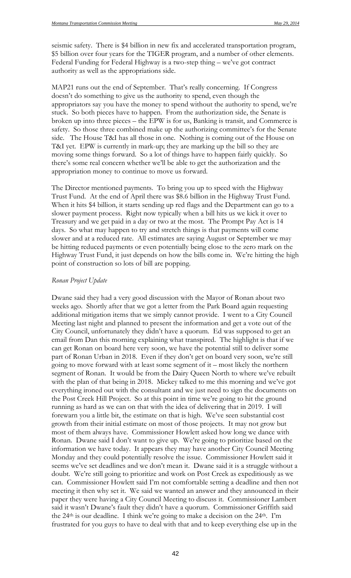seismic safety. There is \$4 billion in new fix and accelerated transportation program, \$5 billion over four years for the TIGER program, and a number of other elements. Federal Funding for Federal Highway is a two-step thing – we've got contract authority as well as the appropriations side.

MAP21 runs out the end of September. That's really concerning. If Congress doesn't do something to give us the authority to spend, even though the appropriators say you have the money to spend without the authority to spend, we're stuck. So both pieces have to happen. From the authorization side, the Senate is broken up into three pieces – the EPW is for us, Banking is transit, and Commerce is safety. So those three combined make up the authorizing committee's for the Senate side. The House T&I has all those in one. Nothing is coming out of the House on T&I yet. EPW is currently in mark-up; they are marking up the bill so they are moving some things forward. So a lot of things have to happen fairly quickly. So there's some real concern whether we'll be able to get the authorization and the appropriation money to continue to move us forward.

The Director mentioned payments. To bring you up to speed with the Highway Trust Fund. At the end of April there was \$8.6 billion in the Highway Trust Fund. When it hits \$4 billion, it starts sending up red flags and the Department can go to a slower payment process. Right now typically when a bill hits us we kick it over to Treasury and we get paid in a day or two at the most. The Prompt Pay Act is 14 days. So what may happen to try and stretch things is that payments will come slower and at a reduced rate. All estimates are saying August or September we may be hitting reduced payments or even potentially being close to the zero mark on the Highway Trust Fund, it just depends on how the bills come in. We're hitting the high point of construction so lots of bill are popping.

#### *Ronan Project Update*

Dwane said they had a very good discussion with the Mayor of Ronan about two weeks ago. Shortly after that we got a letter from the Park Board again requesting additional mitigation items that we simply cannot provide. I went to a City Council Meeting last night and planned to present the information and get a vote out of the City Council, unfortunately they didn't have a quorum. Ed was supposed to get an email from Dan this morning explaining what transpired. The highlight is that if we can get Ronan on board here very soon, we have the potential still to deliver some part of Ronan Urban in 2018. Even if they don't get on board very soon, we're still going to move forward with at least some segment of it – most likely the northern segment of Ronan. It would be from the Dairy Queen North to where we've rebuilt with the plan of that being in 2018. Mickey talked to me this morning and we've got everything ironed out with the consultant and we just need to sign the documents on the Post Creek Hill Project. So at this point in time we're going to hit the ground running as hard as we can on that with the idea of delivering that in 2019. I will forewarn you a little bit, the estimate on that is high. We've seen substantial cost growth from their initial estimate on most of those projects. It may not grow but most of them always have. Commissioner Howlett asked how long we dance with Ronan. Dwane said I don't want to give up. We're going to prioritize based on the information we have today. It appears they may have another City Council Meeting Monday and they could potentially resolve the issue. Commissioner Howlett said it seems we've set deadlines and we don't mean it. Dwane said it is a struggle without a doubt. We're still going to prioritize and work on Post Creek as expeditiously as we can. Commissioner Howlett said I'm not comfortable setting a deadline and then not meeting it then why set it. We said we wanted an answer and they announced in their paper they were having a City Council Meeting to discuss it. Commissioner Lambert said it wasn't Dwane's fault they didn't have a quorum. Commissioner Griffith said the 24th is our deadline. I think we're going to make a decision on the 24th. I'm frustrated for you guys to have to deal with that and to keep everything else up in the